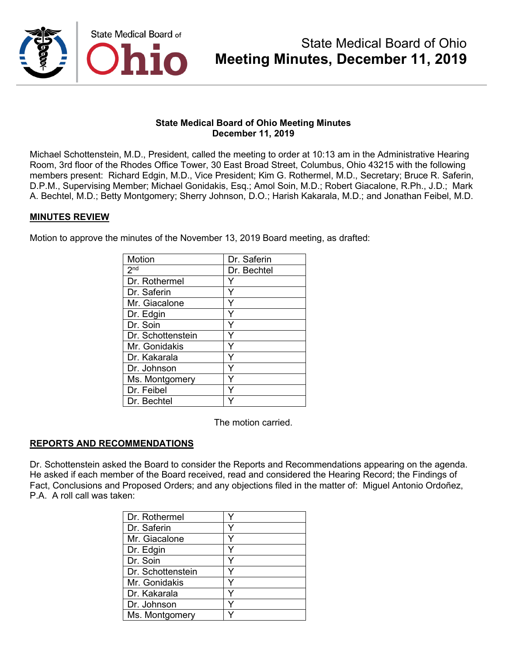

Michael Schottenstein, M.D., President, called the meeting to order at 10:13 am in the Administrative Hearing Room, 3rd floor of the Rhodes Office Tower, 30 East Broad Street, Columbus, Ohio 43215 with the following members present: Richard Edgin, M.D., Vice President; Kim G. Rothermel, M.D., Secretary; Bruce R. Saferin, D.P.M., Supervising Member; Michael Gonidakis, Esq.; Amol Soin, M.D.; Robert Giacalone, R.Ph., J.D.; Mark A. Bechtel, M.D.; Betty Montgomery; Sherry Johnson, D.O.; Harish Kakarala, M.D.; and Jonathan Feibel, M.D.

#### **MINUTES REVIEW**

Motion to approve the minutes of the November 13, 2019 Board meeting, as drafted:

| <b>Motion</b>     | Dr. Saferin |
|-------------------|-------------|
| 2 <sup>nd</sup>   | Dr. Bechtel |
| Dr. Rothermel     |             |
| Dr. Saferin       | Y           |
| Mr. Giacalone     | Y           |
| Dr. Edgin         |             |
| Dr. Soin          | Y           |
| Dr. Schottenstein | Ý           |
| Mr. Gonidakis     | Y           |
| Dr. Kakarala      | ٧           |
| Dr. Johnson       |             |
| Ms. Montgomery    |             |
| Dr. Feibel        |             |
| Dr. Bechtel       |             |

The motion carried.

## **REPORTS AND RECOMMENDATIONS**

Dr. Schottenstein asked the Board to consider the Reports and Recommendations appearing on the agenda. He asked if each member of the Board received, read and considered the Hearing Record; the Findings of Fact, Conclusions and Proposed Orders; and any objections filed in the matter of: Miguel Antonio Ordoñez, P.A. A roll call was taken:

| Dr. Rothermel     |  |
|-------------------|--|
| Dr. Saferin       |  |
| Mr. Giacalone     |  |
| Dr. Edgin         |  |
| Dr. Soin          |  |
| Dr. Schottenstein |  |
| Mr. Gonidakis     |  |
| Dr. Kakarala      |  |
| Dr. Johnson       |  |
| Ms. Montgomery    |  |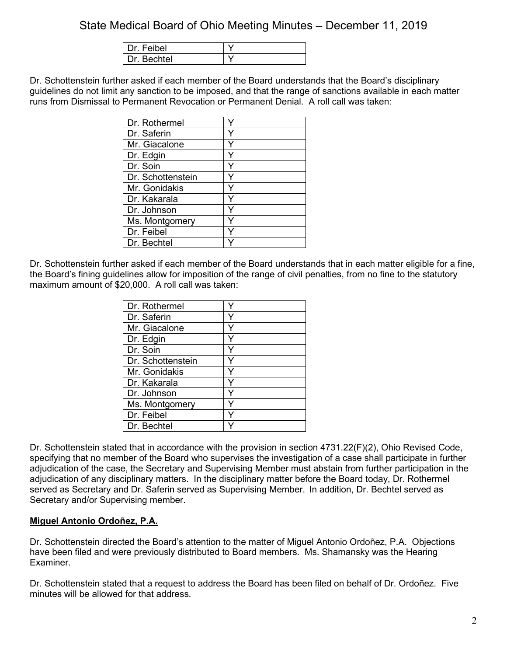| Feihel                 |  |
|------------------------|--|
| <b>Bechtel</b><br>. )r |  |

Dr. Schottenstein further asked if each member of the Board understands that the Board's disciplinary guidelines do not limit any sanction to be imposed, and that the range of sanctions available in each matter runs from Dismissal to Permanent Revocation or Permanent Denial. A roll call was taken:

| Dr. Rothermel     |  |
|-------------------|--|
| Dr. Saferin       |  |
| Mr. Giacalone     |  |
| Dr. Edgin         |  |
| Dr. Soin          |  |
| Dr. Schottenstein |  |
| Mr. Gonidakis     |  |
| Dr. Kakarala      |  |
| Dr. Johnson       |  |
| Ms. Montgomery    |  |
| Dr. Feibel        |  |
| Dr. Bechtel       |  |

Dr. Schottenstein further asked if each member of the Board understands that in each matter eligible for a fine, the Board's fining guidelines allow for imposition of the range of civil penalties, from no fine to the statutory maximum amount of \$20,000. A roll call was taken:

| Dr. Rothermel     |   |
|-------------------|---|
| Dr. Saferin       | Y |
| Mr. Giacalone     | Y |
| Dr. Edgin         | Y |
| Dr. Soin          | Y |
| Dr. Schottenstein | Y |
| Mr. Gonidakis     | Y |
| Dr. Kakarala      | v |
| Dr. Johnson       | ٧ |
| Ms. Montgomery    | Y |
| Dr. Feibel        | Y |
| Dr. Bechtel       |   |

Dr. Schottenstein stated that in accordance with the provision in section 4731.22(F)(2), Ohio Revised Code, specifying that no member of the Board who supervises the investigation of a case shall participate in further adjudication of the case, the Secretary and Supervising Member must abstain from further participation in the adjudication of any disciplinary matters. In the disciplinary matter before the Board today, Dr. Rothermel served as Secretary and Dr. Saferin served as Supervising Member. In addition, Dr. Bechtel served as Secretary and/or Supervising member.

## **Miguel Antonio Ordoñez, P.A.**

Dr. Schottenstein directed the Board's attention to the matter of Miguel Antonio Ordoñez, P.A. Objections have been filed and were previously distributed to Board members. Ms. Shamansky was the Hearing Examiner.

Dr. Schottenstein stated that a request to address the Board has been filed on behalf of Dr. Ordoñez. Five minutes will be allowed for that address.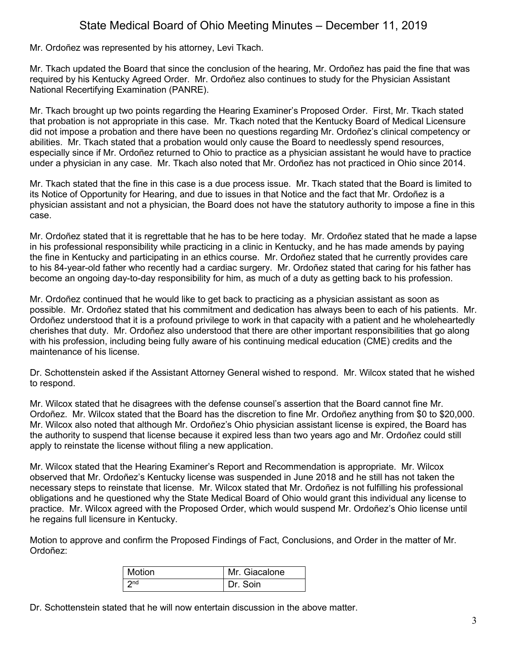Mr. Ordoñez was represented by his attorney, Levi Tkach.

Mr. Tkach updated the Board that since the conclusion of the hearing, Mr. Ordoñez has paid the fine that was required by his Kentucky Agreed Order. Mr. Ordoñez also continues to study for the Physician Assistant National Recertifying Examination (PANRE).

Mr. Tkach brought up two points regarding the Hearing Examiner's Proposed Order. First, Mr. Tkach stated that probation is not appropriate in this case. Mr. Tkach noted that the Kentucky Board of Medical Licensure did not impose a probation and there have been no questions regarding Mr. Ordoñez's clinical competency or abilities. Mr. Tkach stated that a probation would only cause the Board to needlessly spend resources, especially since if Mr. Ordoñez returned to Ohio to practice as a physician assistant he would have to practice under a physician in any case. Mr. Tkach also noted that Mr. Ordoñez has not practiced in Ohio since 2014.

Mr. Tkach stated that the fine in this case is a due process issue. Mr. Tkach stated that the Board is limited to its Notice of Opportunity for Hearing, and due to issues in that Notice and the fact that Mr. Ordoñez is a physician assistant and not a physician, the Board does not have the statutory authority to impose a fine in this case.

Mr. Ordoñez stated that it is regrettable that he has to be here today. Mr. Ordoñez stated that he made a lapse in his professional responsibility while practicing in a clinic in Kentucky, and he has made amends by paying the fine in Kentucky and participating in an ethics course. Mr. Ordoñez stated that he currently provides care to his 84-year-old father who recently had a cardiac surgery. Mr. Ordoñez stated that caring for his father has become an ongoing day-to-day responsibility for him, as much of a duty as getting back to his profession.

Mr. Ordoñez continued that he would like to get back to practicing as a physician assistant as soon as possible. Mr. Ordoñez stated that his commitment and dedication has always been to each of his patients. Mr. Ordoñez understood that it is a profound privilege to work in that capacity with a patient and he wholeheartedly cherishes that duty. Mr. Ordoñez also understood that there are other important responsibilities that go along with his profession, including being fully aware of his continuing medical education (CME) credits and the maintenance of his license.

Dr. Schottenstein asked if the Assistant Attorney General wished to respond. Mr. Wilcox stated that he wished to respond.

Mr. Wilcox stated that he disagrees with the defense counsel's assertion that the Board cannot fine Mr. Ordoñez. Mr. Wilcox stated that the Board has the discretion to fine Mr. Ordoñez anything from \$0 to \$20,000. Mr. Wilcox also noted that although Mr. Ordoñez's Ohio physician assistant license is expired, the Board has the authority to suspend that license because it expired less than two years ago and Mr. Ordoñez could still apply to reinstate the license without filing a new application.

Mr. Wilcox stated that the Hearing Examiner's Report and Recommendation is appropriate. Mr. Wilcox observed that Mr. Ordoñez's Kentucky license was suspended in June 2018 and he still has not taken the necessary steps to reinstate that license. Mr. Wilcox stated that Mr. Ordoñez is not fulfilling his professional obligations and he questioned why the State Medical Board of Ohio would grant this individual any license to practice. Mr. Wilcox agreed with the Proposed Order, which would suspend Mr. Ordoñez's Ohio license until he regains full licensure in Kentucky.

Motion to approve and confirm the Proposed Findings of Fact, Conclusions, and Order in the matter of Mr. Ordoñez:

| Motion          | Mr. Giacalone |
|-----------------|---------------|
| 2 <sub>nd</sub> | Dr. Soin      |

Dr. Schottenstein stated that he will now entertain discussion in the above matter.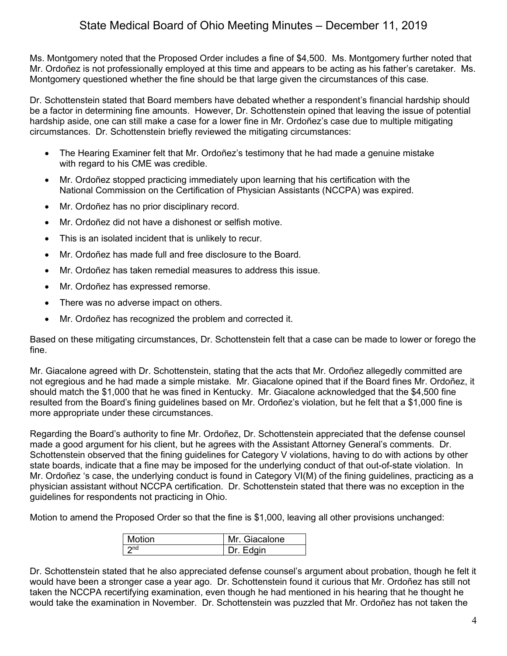Ms. Montgomery noted that the Proposed Order includes a fine of \$4,500. Ms. Montgomery further noted that Mr. Ordoñez is not professionally employed at this time and appears to be acting as his father's caretaker. Ms. Montgomery questioned whether the fine should be that large given the circumstances of this case.

Dr. Schottenstein stated that Board members have debated whether a respondent's financial hardship should be a factor in determining fine amounts. However, Dr. Schottenstein opined that leaving the issue of potential hardship aside, one can still make a case for a lower fine in Mr. Ordoñez's case due to multiple mitigating circumstances. Dr. Schottenstein briefly reviewed the mitigating circumstances:

- The Hearing Examiner felt that Mr. Ordoñez's testimony that he had made a genuine mistake with regard to his CME was credible.
- Mr. Ordoñez stopped practicing immediately upon learning that his certification with the National Commission on the Certification of Physician Assistants (NCCPA) was expired.
- Mr. Ordoñez has no prior disciplinary record.
- Mr. Ordoñez did not have a dishonest or selfish motive.
- This is an isolated incident that is unlikely to recur.
- Mr. Ordoñez has made full and free disclosure to the Board.
- Mr. Ordoñez has taken remedial measures to address this issue.
- Mr. Ordoñez has expressed remorse.
- There was no adverse impact on others.
- Mr. Ordoñez has recognized the problem and corrected it.

Based on these mitigating circumstances, Dr. Schottenstein felt that a case can be made to lower or forego the fine.

Mr. Giacalone agreed with Dr. Schottenstein, stating that the acts that Mr. Ordoñez allegedly committed are not egregious and he had made a simple mistake. Mr. Giacalone opined that if the Board fines Mr. Ordoñez, it should match the \$1,000 that he was fined in Kentucky. Mr. Giacalone acknowledged that the \$4,500 fine resulted from the Board's fining guidelines based on Mr. Ordoñez's violation, but he felt that a \$1,000 fine is more appropriate under these circumstances.

Regarding the Board's authority to fine Mr. Ordoñez, Dr. Schottenstein appreciated that the defense counsel made a good argument for his client, but he agrees with the Assistant Attorney General's comments. Dr. Schottenstein observed that the fining guidelines for Category V violations, having to do with actions by other state boards, indicate that a fine may be imposed for the underlying conduct of that out-of-state violation. In Mr. Ordoñez 's case, the underlying conduct is found in Category VI(M) of the fining guidelines, practicing as a physician assistant without NCCPA certification. Dr. Schottenstein stated that there was no exception in the guidelines for respondents not practicing in Ohio.

Motion to amend the Proposed Order so that the fine is \$1,000, leaving all other provisions unchanged:

| Motion          | Mr. Giacalone |
|-----------------|---------------|
| 2n <sub>d</sub> | Dr. Edgin     |

Dr. Schottenstein stated that he also appreciated defense counsel's argument about probation, though he felt it would have been a stronger case a year ago. Dr. Schottenstein found it curious that Mr. Ordoñez has still not taken the NCCPA recertifying examination, even though he had mentioned in his hearing that he thought he would take the examination in November. Dr. Schottenstein was puzzled that Mr. Ordoñez has not taken the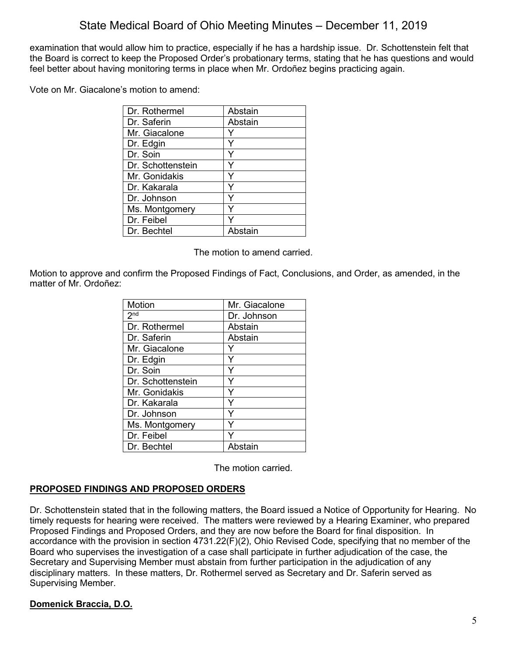examination that would allow him to practice, especially if he has a hardship issue. Dr. Schottenstein felt that the Board is correct to keep the Proposed Order's probationary terms, stating that he has questions and would feel better about having monitoring terms in place when Mr. Ordoñez begins practicing again.

Vote on Mr. Giacalone's motion to amend:

| Abstain |
|---------|
| Abstain |
|         |
|         |
|         |
|         |
|         |
|         |
|         |
|         |
|         |
| Abstain |
|         |

The motion to amend carried.

Motion to approve and confirm the Proposed Findings of Fact, Conclusions, and Order, as amended, in the matter of Mr. Ordoñez:

| <b>Motion</b>     | Mr. Giacalone |
|-------------------|---------------|
| 2 <sub>nd</sub>   | Dr. Johnson   |
| Dr. Rothermel     | Abstain       |
| Dr. Saferin       | Abstain       |
| Mr. Giacalone     |               |
| Dr. Edgin         | Y             |
| Dr. Soin          | Ý             |
| Dr. Schottenstein | Υ             |
| Mr. Gonidakis     | Y             |
| Dr. Kakarala      | Y             |
| Dr. Johnson       | Y             |
| Ms. Montgomery    | Υ             |
| Dr. Feibel        |               |
| Dr. Bechtel       | Abstain       |

The motion carried.

# **PROPOSED FINDINGS AND PROPOSED ORDERS**

Dr. Schottenstein stated that in the following matters, the Board issued a Notice of Opportunity for Hearing. No timely requests for hearing were received. The matters were reviewed by a Hearing Examiner, who prepared Proposed Findings and Proposed Orders, and they are now before the Board for final disposition. In accordance with the provision in section 4731.22(F)(2), Ohio Revised Code, specifying that no member of the Board who supervises the investigation of a case shall participate in further adjudication of the case, the Secretary and Supervising Member must abstain from further participation in the adjudication of any disciplinary matters. In these matters, Dr. Rothermel served as Secretary and Dr. Saferin served as Supervising Member.

# **Domenick Braccia, D.O.**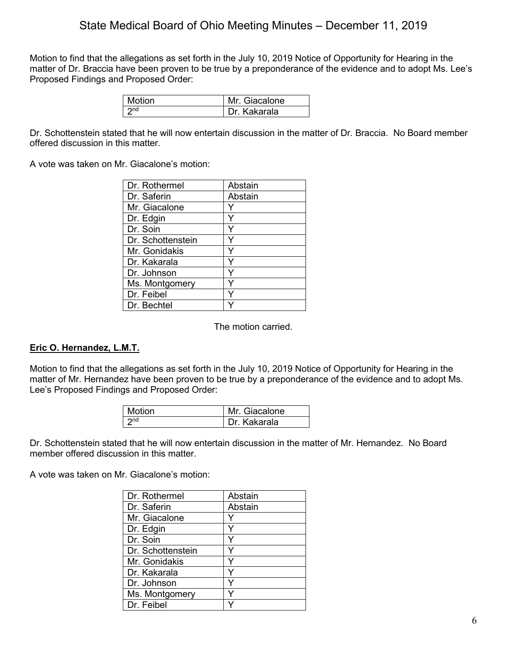Motion to find that the allegations as set forth in the July 10, 2019 Notice of Opportunity for Hearing in the matter of Dr. Braccia have been proven to be true by a preponderance of the evidence and to adopt Ms. Lee's Proposed Findings and Proposed Order:

| Motion          | Mr. Giacalone |
|-----------------|---------------|
| 2n <sub>d</sub> | Dr. Kakarala  |

Dr. Schottenstein stated that he will now entertain discussion in the matter of Dr. Braccia. No Board member offered discussion in this matter.

A vote was taken on Mr. Giacalone's motion:

| Dr. Rothermel     | Abstain |
|-------------------|---------|
| Dr. Saferin       | Abstain |
| Mr. Giacalone     |         |
| Dr. Edgin         |         |
| Dr. Soin          |         |
| Dr. Schottenstein |         |
| Mr. Gonidakis     |         |
| Dr. Kakarala      |         |
| Dr. Johnson       |         |
| Ms. Montgomery    |         |
| Dr. Feibel        |         |
| Dr. Bechtel       |         |

The motion carried.

## **Eric O. Hernandez, L.M.T.**

Motion to find that the allegations as set forth in the July 10, 2019 Notice of Opportunity for Hearing in the matter of Mr. Hernandez have been proven to be true by a preponderance of the evidence and to adopt Ms. Lee's Proposed Findings and Proposed Order:

| Motion | Mr. Giacalone |
|--------|---------------|
| ond    | Dr. Kakarala  |

Dr. Schottenstein stated that he will now entertain discussion in the matter of Mr. Hernandez. No Board member offered discussion in this matter.

A vote was taken on Mr. Giacalone's motion:

| Dr. Rothermel     | Abstain |
|-------------------|---------|
| Dr. Saferin       | Abstain |
| Mr. Giacalone     |         |
| Dr. Edgin         | Y       |
| Dr. Soin          | Y       |
| Dr. Schottenstein | Y       |
| Mr. Gonidakis     |         |
| Dr. Kakarala      | Y       |
| Dr. Johnson       | Y       |
| Ms. Montgomery    |         |
| Dr. Feibel        |         |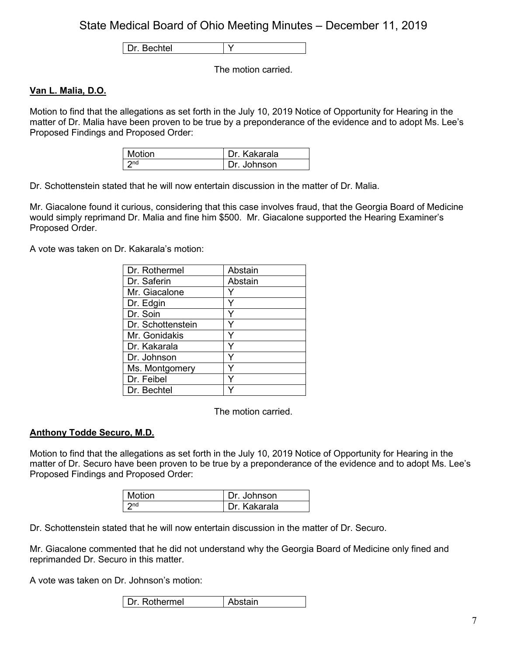Dr. Bechtel | Y

The motion carried.

## **Van L. Malia, D.O.**

Motion to find that the allegations as set forth in the July 10, 2019 Notice of Opportunity for Hearing in the matter of Dr. Malia have been proven to be true by a preponderance of the evidence and to adopt Ms. Lee's Proposed Findings and Proposed Order:

| Motion          | Dr. Kakarala  |
|-----------------|---------------|
| 2n <sub>d</sub> | I Dr. Johnson |

Dr. Schottenstein stated that he will now entertain discussion in the matter of Dr. Malia.

Mr. Giacalone found it curious, considering that this case involves fraud, that the Georgia Board of Medicine would simply reprimand Dr. Malia and fine him \$500. Mr. Giacalone supported the Hearing Examiner's Proposed Order.

A vote was taken on Dr. Kakarala's motion:

| Dr. Rothermel     | Abstain |
|-------------------|---------|
| Dr. Saferin       | Abstain |
| Mr. Giacalone     |         |
| Dr. Edgin         | Y       |
| Dr. Soin          |         |
| Dr. Schottenstein |         |
| Mr. Gonidakis     | Y       |
| Dr. Kakarala      | Y       |
| Dr. Johnson       | ٧       |
| Ms. Montgomery    |         |
| Dr. Feibel        | Y       |
| Dr. Bechtel       |         |

The motion carried.

## **Anthony Todde Securo, M.D.**

Motion to find that the allegations as set forth in the July 10, 2019 Notice of Opportunity for Hearing in the matter of Dr. Securo have been proven to be true by a preponderance of the evidence and to adopt Ms. Lee's Proposed Findings and Proposed Order:

| Motion          | Dr. Johnson  |
|-----------------|--------------|
| 2n <sub>d</sub> | Dr. Kakarala |

Dr. Schottenstein stated that he will now entertain discussion in the matter of Dr. Securo.

Mr. Giacalone commented that he did not understand why the Georgia Board of Medicine only fined and reprimanded Dr. Securo in this matter.

A vote was taken on Dr. Johnson's motion:

| Dr. Rothermel | Abstain |
|---------------|---------|
|---------------|---------|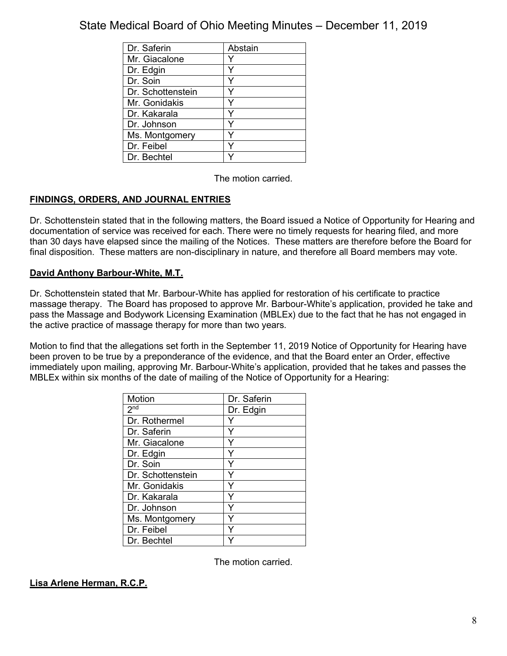| Dr. Saferin       | Abstain |
|-------------------|---------|
| Mr. Giacalone     |         |
| Dr. Edgin         | Y       |
| Dr. Soin          |         |
| Dr. Schottenstein |         |
| Mr. Gonidakis     | Y       |
| Dr. Kakarala      |         |
| Dr. Johnson       |         |
| Ms. Montgomery    |         |
| Dr. Feibel        |         |
| Dr. Bechtel       |         |

The motion carried.

# **FINDINGS, ORDERS, AND JOURNAL ENTRIES**

Dr. Schottenstein stated that in the following matters, the Board issued a Notice of Opportunity for Hearing and documentation of service was received for each. There were no timely requests for hearing filed, and more than 30 days have elapsed since the mailing of the Notices. These matters are therefore before the Board for final disposition. These matters are non-disciplinary in nature, and therefore all Board members may vote.

# **David Anthony Barbour-White, M.T.**

Dr. Schottenstein stated that Mr. Barbour-White has applied for restoration of his certificate to practice massage therapy. The Board has proposed to approve Mr. Barbour-White's application, provided he take and pass the Massage and Bodywork Licensing Examination (MBLEx) due to the fact that he has not engaged in the active practice of massage therapy for more than two years.

Motion to find that the allegations set forth in the September 11, 2019 Notice of Opportunity for Hearing have been proven to be true by a preponderance of the evidence, and that the Board enter an Order, effective immediately upon mailing, approving Mr. Barbour-White's application, provided that he takes and passes the MBLEx within six months of the date of mailing of the Notice of Opportunity for a Hearing:

| <b>Motion</b>     | Dr. Saferin |
|-------------------|-------------|
| 2 <sup>nd</sup>   | Dr. Edgin   |
| Dr. Rothermel     |             |
| Dr. Saferin       | Y           |
| Mr. Giacalone     |             |
| Dr. Edgin         | ٧           |
| Dr. Soin          | ٧           |
| Dr. Schottenstein |             |
| Mr. Gonidakis     |             |
| Dr. Kakarala      | ٧           |
| Dr. Johnson       |             |
| Ms. Montgomery    |             |
| Dr. Feibel        |             |
| Dr. Bechtel       |             |

The motion carried.

## **Lisa Arlene Herman, R.C.P.**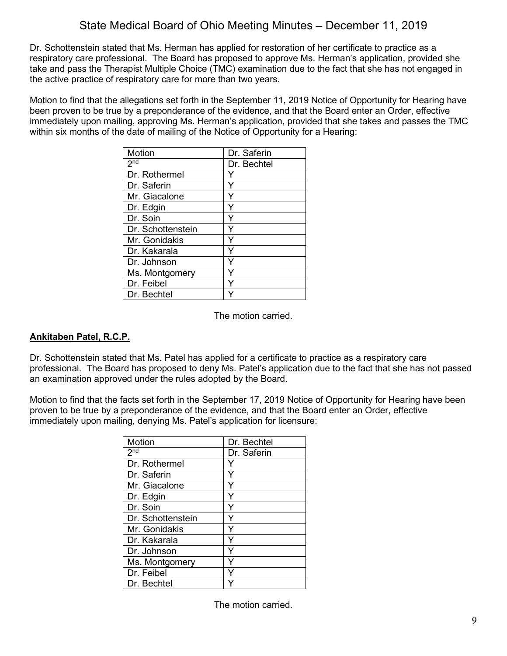Dr. Schottenstein stated that Ms. Herman has applied for restoration of her certificate to practice as a respiratory care professional. The Board has proposed to approve Ms. Herman's application, provided she take and pass the Therapist Multiple Choice (TMC) examination due to the fact that she has not engaged in the active practice of respiratory care for more than two years.

Motion to find that the allegations set forth in the September 11, 2019 Notice of Opportunity for Hearing have been proven to be true by a preponderance of the evidence, and that the Board enter an Order, effective immediately upon mailing, approving Ms. Herman's application, provided that she takes and passes the TMC within six months of the date of mailing of the Notice of Opportunity for a Hearing:

| <b>Motion</b>     | Dr. Saferin |
|-------------------|-------------|
| 2 <sup>nd</sup>   | Dr. Bechtel |
| Dr. Rothermel     |             |
| Dr. Saferin       | Y           |
| Mr. Giacalone     | Y           |
| Dr. Edgin         | Y           |
| Dr. Soin          | Y           |
| Dr. Schottenstein |             |
| Mr. Gonidakis     |             |
| Dr. Kakarala      | Y           |
| Dr. Johnson       | Y           |
| Ms. Montgomery    |             |
| Dr. Feibel        | Ÿ           |
| Dr. Bechtel       |             |

The motion carried.

# **Ankitaben Patel, R.C.P.**

Dr. Schottenstein stated that Ms. Patel has applied for a certificate to practice as a respiratory care professional. The Board has proposed to deny Ms. Patel's application due to the fact that she has not passed an examination approved under the rules adopted by the Board.

Motion to find that the facts set forth in the September 17, 2019 Notice of Opportunity for Hearing have been proven to be true by a preponderance of the evidence, and that the Board enter an Order, effective immediately upon mailing, denying Ms. Patel's application for licensure:

| <b>Motion</b>     | Dr. Bechtel |
|-------------------|-------------|
| 2 <sub>nd</sub>   | Dr. Saferin |
| Dr. Rothermel     |             |
| Dr. Saferin       | Y           |
| Mr. Giacalone     | Ý           |
| Dr. Edgin         | Y           |
| Dr. Soin          | Y           |
| Dr. Schottenstein | Y           |
| Mr. Gonidakis     | Y           |
| Dr. Kakarala      | Y           |
| Dr. Johnson       | Y           |
| Ms. Montgomery    |             |
| Dr. Feibel        | Y           |
| Dr. Bechtel       |             |

The motion carried.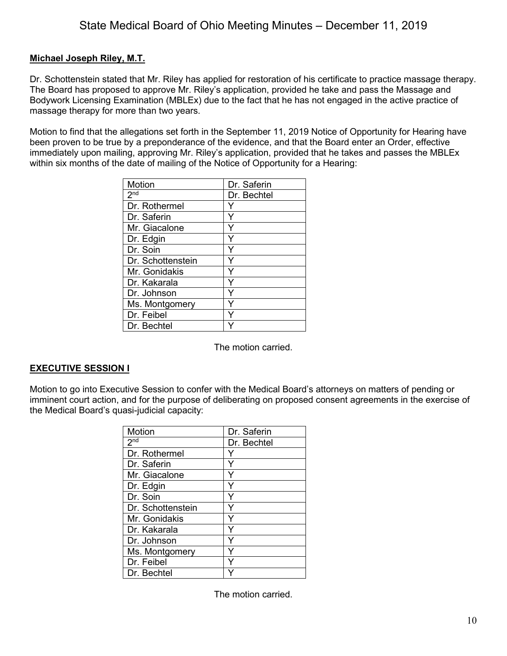# **Michael Joseph Riley, M.T.**

Dr. Schottenstein stated that Mr. Riley has applied for restoration of his certificate to practice massage therapy. The Board has proposed to approve Mr. Riley's application, provided he take and pass the Massage and Bodywork Licensing Examination (MBLEx) due to the fact that he has not engaged in the active practice of massage therapy for more than two years.

Motion to find that the allegations set forth in the September 11, 2019 Notice of Opportunity for Hearing have been proven to be true by a preponderance of the evidence, and that the Board enter an Order, effective immediately upon mailing, approving Mr. Riley's application, provided that he takes and passes the MBLEx within six months of the date of mailing of the Notice of Opportunity for a Hearing:

| Motion            | Dr. Saferin |
|-------------------|-------------|
| 2 <sub>nd</sub>   | Dr. Bechtel |
| Dr. Rothermel     |             |
| Dr. Saferin       | Υ           |
| Mr. Giacalone     |             |
| Dr. Edgin         | Y           |
| Dr. Soin          |             |
| Dr. Schottenstein |             |
| Mr. Gonidakis     | ٧           |
| Dr. Kakarala      |             |
| Dr. Johnson       |             |
| Ms. Montgomery    | ٧           |
| Dr. Feibel        |             |
| Dr. Bechtel       |             |

The motion carried.

# **EXECUTIVE SESSION I**

Motion to go into Executive Session to confer with the Medical Board's attorneys on matters of pending or imminent court action, and for the purpose of deliberating on proposed consent agreements in the exercise of the Medical Board's quasi-judicial capacity:

| <b>Motion</b>     | Dr. Saferin |
|-------------------|-------------|
| 2 <sub>nd</sub>   | Dr. Bechtel |
| Dr. Rothermel     |             |
| Dr. Saferin       | Y           |
| Mr. Giacalone     | Y           |
| Dr. Edgin         | Y           |
| Dr. Soin          | Y           |
| Dr. Schottenstein | Ý           |
| Mr. Gonidakis     |             |
| Dr. Kakarala      | Y           |
| Dr. Johnson       | Y           |
| Ms. Montgomery    | Y           |
| Dr. Feibel        | ٧           |
| Dr. Bechtel       |             |

The motion carried.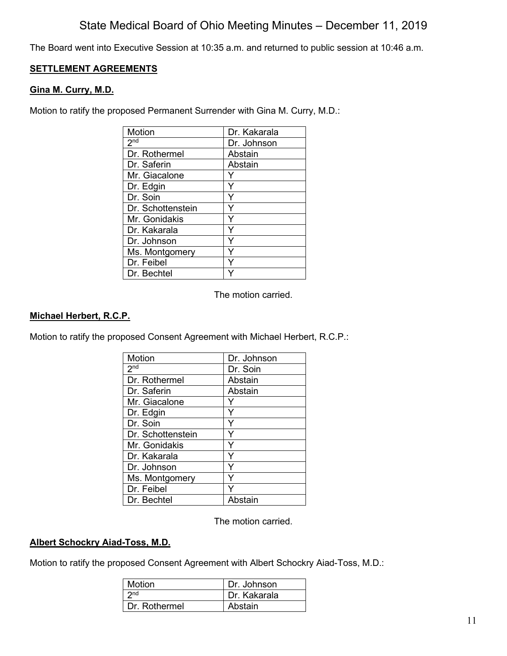The Board went into Executive Session at 10:35 a.m. and returned to public session at 10:46 a.m.

#### **SETTLEMENT AGREEMENTS**

#### **Gina M. Curry, M.D.**

Motion to ratify the proposed Permanent Surrender with Gina M. Curry, M.D.:

| Motion            | Dr. Kakarala |
|-------------------|--------------|
| 2 <sub>nd</sub>   | Dr. Johnson  |
| Dr. Rothermel     | Abstain      |
| Dr. Saferin       | Abstain      |
| Mr. Giacalone     |              |
| Dr. Edgin         | Y            |
| Dr. Soin          | Ÿ            |
| Dr. Schottenstein | Y            |
| Mr. Gonidakis     |              |
| Dr. Kakarala      | Υ            |
| Dr. Johnson       |              |
| Ms. Montgomery    |              |
| Dr. Feibel        | Υ            |
| Dr. Bechtel       |              |

The motion carried.

## **Michael Herbert, R.C.P.**

Motion to ratify the proposed Consent Agreement with Michael Herbert, R.C.P.:

| Motion                     | Dr. Johnson |
|----------------------------|-------------|
| $2^{\overline{\text{nd}}}$ | Dr. Soin    |
| Dr. Rothermel              | Abstain     |
| Dr. Saferin                | Abstain     |
| Mr. Giacalone              |             |
| Dr. Edgin                  | Y           |
| Dr. Soin                   | Y           |
| Dr. Schottenstein          | Ý           |
| Mr. Gonidakis              | Y           |
| Dr. Kakarala               | Y           |
| Dr. Johnson                | Ý           |
| Ms. Montgomery             |             |
| Dr. Feibel                 | ٧           |
| Dr. Bechtel                | Abstain     |

The motion carried.

# **Albert Schockry Aiad-Toss, M.D.**

Motion to ratify the proposed Consent Agreement with Albert Schockry Aiad-Toss, M.D.:

| Motion          | Dr. Johnson  |
|-----------------|--------------|
| 2 <sub>nd</sub> | Dr. Kakarala |
| Dr. Rothermel   | Abstain      |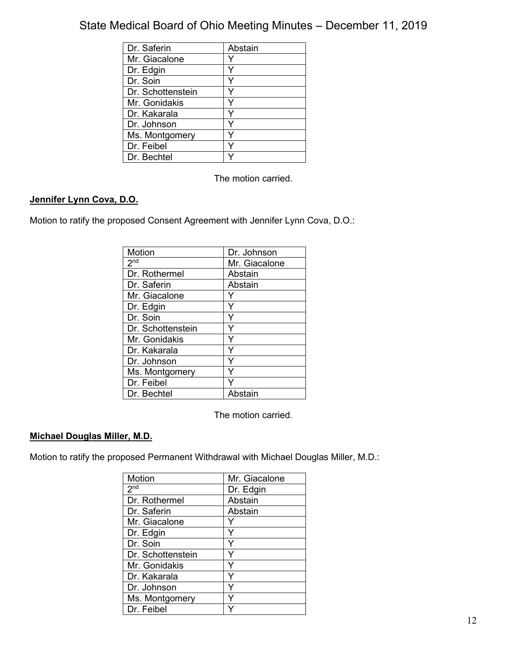| Dr. Saferin       | Abstain |
|-------------------|---------|
| Mr. Giacalone     |         |
| Dr. Edgin         |         |
| Dr. Soin          |         |
| Dr. Schottenstein |         |
| Mr. Gonidakis     |         |
| Dr. Kakarala      |         |
| Dr. Johnson       |         |
| Ms. Montgomery    |         |
| Dr. Feibel        |         |
| Dr. Bechtel       |         |

The motion carried.

# **Jennifer Lynn Cova, D.O.**

Motion to ratify the proposed Consent Agreement with Jennifer Lynn Cova, D.O.:

| Motion            | Dr. Johnson   |
|-------------------|---------------|
| 2 <sub>nd</sub>   | Mr. Giacalone |
| Dr. Rothermel     | Abstain       |
| Dr. Saferin       | Abstain       |
| Mr. Giacalone     |               |
| Dr. Edgin         | Y             |
| Dr. Soin          | Y             |
| Dr. Schottenstein | Ý             |
| Mr. Gonidakis     | Y             |
| Dr. Kakarala      | Y             |
| Dr. Johnson       | Ý             |
| Ms. Montgomery    |               |
| Dr. Feibel        |               |
| Dr. Bechtel       | Abstain       |

The motion carried.

# **Michael Douglas Miller, M.D.**

Motion to ratify the proposed Permanent Withdrawal with Michael Douglas Miller, M.D.:

| Motion            | Mr. Giacalone |
|-------------------|---------------|
| 2 <sub>nd</sub>   | Dr. Edgin     |
| Dr. Rothermel     | Abstain       |
| Dr. Saferin       | Abstain       |
| Mr. Giacalone     |               |
| Dr. Edgin         |               |
| Dr. Soin          | Y             |
| Dr. Schottenstein | Y             |
| Mr. Gonidakis     | Y             |
| Dr. Kakarala      | Υ             |
| Dr. Johnson       | ٧             |
| Ms. Montgomery    |               |
| Dr. Feibel        |               |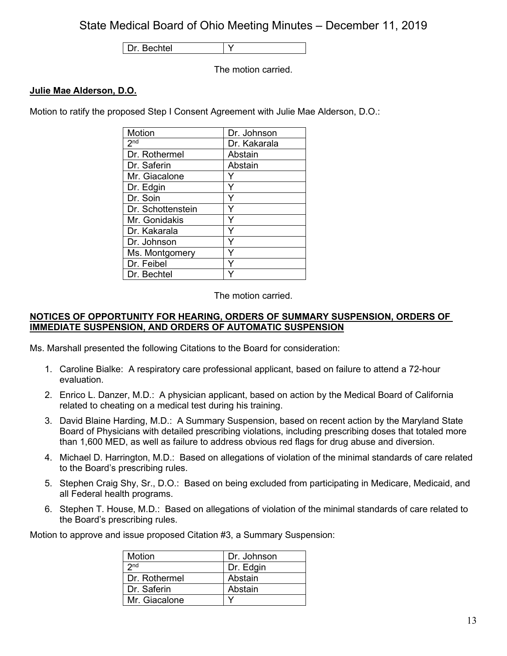Dr. Bechtel | Y

The motion carried.

## **Julie Mae Alderson, D.O.**

Motion to ratify the proposed Step I Consent Agreement with Julie Mae Alderson, D.O.:

| Motion                     | Dr. Johnson  |
|----------------------------|--------------|
| $2^{\overline{\text{nd}}}$ | Dr. Kakarala |
| Dr. Rothermel              | Abstain      |
| Dr. Saferin                | Abstain      |
| Mr. Giacalone              |              |
| Dr. Edgin                  | Y            |
| Dr. Soin                   | Y            |
| Dr. Schottenstein          | Ý            |
| Mr. Gonidakis              | Y            |
| Dr. Kakarala               | Y            |
| Dr. Johnson                | Υ            |
| Ms. Montgomery             |              |
| Dr. Feibel                 |              |
| Dr. Bechtel                |              |

The motion carried.

#### **NOTICES OF OPPORTUNITY FOR HEARING, ORDERS OF SUMMARY SUSPENSION, ORDERS OF IMMEDIATE SUSPENSION, AND ORDERS OF AUTOMATIC SUSPENSION**

Ms. Marshall presented the following Citations to the Board for consideration:

- 1. Caroline Bialke: A respiratory care professional applicant, based on failure to attend a 72-hour evaluation.
- 2. Enrico L. Danzer, M.D.: A physician applicant, based on action by the Medical Board of California related to cheating on a medical test during his training.
- 3. David Blaine Harding, M.D.: A Summary Suspension, based on recent action by the Maryland State Board of Physicians with detailed prescribing violations, including prescribing doses that totaled more than 1,600 MED, as well as failure to address obvious red flags for drug abuse and diversion.
- 4. Michael D. Harrington, M.D.: Based on allegations of violation of the minimal standards of care related to the Board's prescribing rules.
- 5. Stephen Craig Shy, Sr., D.O.: Based on being excluded from participating in Medicare, Medicaid, and all Federal health programs.
- 6. Stephen T. House, M.D.: Based on allegations of violation of the minimal standards of care related to the Board's prescribing rules.

Motion to approve and issue proposed Citation #3, a Summary Suspension:

| Motion          | Dr. Johnson |
|-----------------|-------------|
| 2 <sub>nd</sub> | Dr. Edgin   |
| Dr. Rothermel   | Abstain     |
| Dr. Saferin     | Abstain     |
| Mr. Giacalone   |             |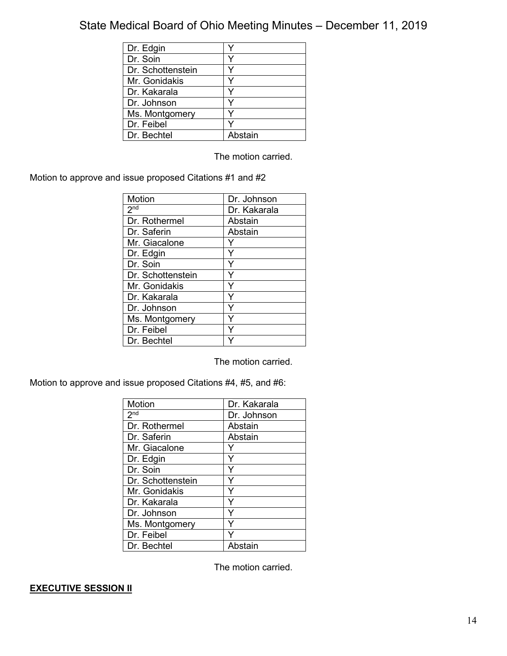| Dr. Edgin         |         |
|-------------------|---------|
| Dr. Soin          |         |
| Dr. Schottenstein |         |
| Mr. Gonidakis     |         |
| Dr. Kakarala      |         |
| Dr. Johnson       |         |
| Ms. Montgomery    |         |
| Dr. Feibel        |         |
| Dr. Bechtel       | Abstain |

The motion carried.

Motion to approve and issue proposed Citations #1 and #2

| Motion            | Dr. Johnson  |
|-------------------|--------------|
| 2 <sub>nd</sub>   | Dr. Kakarala |
| Dr. Rothermel     | Abstain      |
| Dr. Saferin       | Abstain      |
| Mr. Giacalone     |              |
| Dr. Edgin         | Y            |
| Dr. Soin          | Y            |
| Dr. Schottenstein | Y            |
| Mr. Gonidakis     | Y            |
| Dr. Kakarala      | Y            |
| Dr. Johnson       | Y            |
| Ms. Montgomery    | Y            |
| Dr. Feibel        |              |
| Dr. Bechtel       |              |

The motion carried.

Motion to approve and issue proposed Citations #4, #5, and #6:

| Motion            | Dr. Kakarala |
|-------------------|--------------|
| 2 <sup>nd</sup>   | Dr. Johnson  |
| Dr. Rothermel     | Abstain      |
| Dr. Saferin       | Abstain      |
| Mr. Giacalone     |              |
| Dr. Edgin         | Y            |
| Dr. Soin          | Y            |
| Dr. Schottenstein | Y            |
| Mr. Gonidakis     | Y            |
| Dr. Kakarala      | Y            |
| Dr. Johnson       | Y            |
| Ms. Montgomery    | Y            |
| Dr. Feibel        | ٧            |
| Dr. Bechtel       | Abstain      |

The motion carried.

## **EXECUTIVE SESSION II**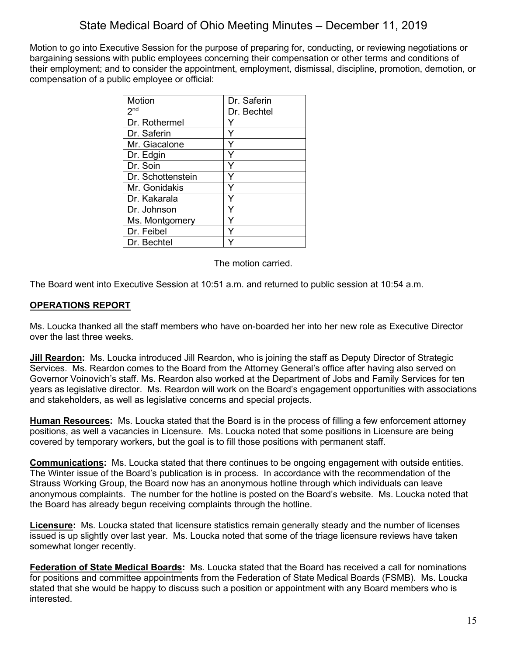Motion to go into Executive Session for the purpose of preparing for, conducting, or reviewing negotiations or bargaining sessions with public employees concerning their compensation or other terms and conditions of their employment; and to consider the appointment, employment, dismissal, discipline, promotion, demotion, or compensation of a public employee or official:

| Motion            | Dr. Saferin |
|-------------------|-------------|
| 2 <sub>nd</sub>   | Dr. Bechtel |
| Dr. Rothermel     |             |
| Dr. Saferin       |             |
| Mr. Giacalone     |             |
| Dr. Edgin         | Y           |
| Dr. Soin          |             |
| Dr. Schottenstein |             |
| Mr. Gonidakis     | v           |
| Dr. Kakarala      |             |
| Dr. Johnson       |             |
| Ms. Montgomery    |             |
| Dr. Feibel        |             |
| Dr. Bechtel       |             |

The motion carried.

The Board went into Executive Session at 10:51 a.m. and returned to public session at 10:54 a.m.

## **OPERATIONS REPORT**

Ms. Loucka thanked all the staff members who have on-boarded her into her new role as Executive Director over the last three weeks.

**Jill Reardon:** Ms. Loucka introduced Jill Reardon, who is joining the staff as Deputy Director of Strategic Services. Ms. Reardon comes to the Board from the Attorney General's office after having also served on Governor Voinovich's staff. Ms. Reardon also worked at the Department of Jobs and Family Services for ten years as legislative director. Ms. Reardon will work on the Board's engagement opportunities with associations and stakeholders, as well as legislative concerns and special projects.

**Human Resources:** Ms. Loucka stated that the Board is in the process of filling a few enforcement attorney positions, as well a vacancies in Licensure. Ms. Loucka noted that some positions in Licensure are being covered by temporary workers, but the goal is to fill those positions with permanent staff.

**Communications:** Ms. Loucka stated that there continues to be ongoing engagement with outside entities. The Winter issue of the Board's publication is in process. In accordance with the recommendation of the Strauss Working Group, the Board now has an anonymous hotline through which individuals can leave anonymous complaints. The number for the hotline is posted on the Board's website. Ms. Loucka noted that the Board has already begun receiving complaints through the hotline.

**Licensure:** Ms. Loucka stated that licensure statistics remain generally steady and the number of licenses issued is up slightly over last year. Ms. Loucka noted that some of the triage licensure reviews have taken somewhat longer recently.

**Federation of State Medical Boards:** Ms. Loucka stated that the Board has received a call for nominations for positions and committee appointments from the Federation of State Medical Boards (FSMB). Ms. Loucka stated that she would be happy to discuss such a position or appointment with any Board members who is interested.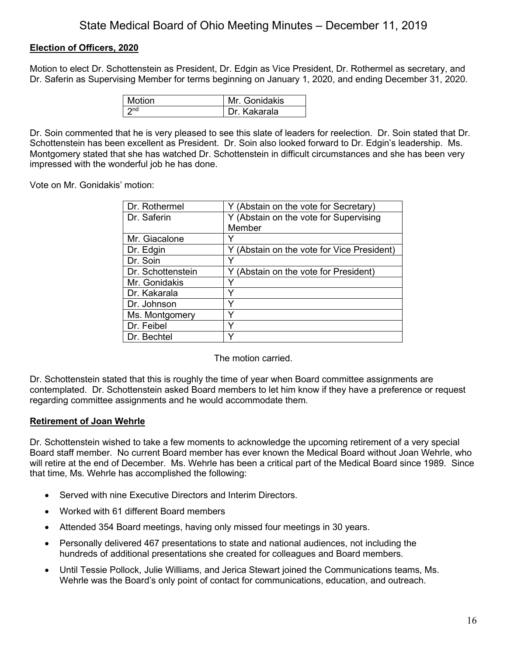# **Election of Officers, 2020**

Motion to elect Dr. Schottenstein as President, Dr. Edgin as Vice President, Dr. Rothermel as secretary, and Dr. Saferin as Supervising Member for terms beginning on January 1, 2020, and ending December 31, 2020.

| Motion | Mr. Gonidakis |
|--------|---------------|
|        | Dr. Kakarala  |

Dr. Soin commented that he is very pleased to see this slate of leaders for reelection. Dr. Soin stated that Dr. Schottenstein has been excellent as President. Dr. Soin also looked forward to Dr. Edgin's leadership. Ms. Montgomery stated that she has watched Dr. Schottenstein in difficult circumstances and she has been very impressed with the wonderful job he has done.

Vote on Mr. Gonidakis' motion:

| Dr. Rothermel     | Y (Abstain on the vote for Secretary)         |
|-------------------|-----------------------------------------------|
| Dr. Saferin       | Y (Abstain on the vote for Supervising        |
|                   | Member                                        |
| Mr. Giacalone     | Y                                             |
| Dr. Edgin         | (Abstain on the vote for Vice President)<br>Y |
| Dr. Soin          |                                               |
| Dr. Schottenstein | Y (Abstain on the vote for President)         |
| Mr. Gonidakis     |                                               |
| Dr. Kakarala      | v                                             |
| Dr. Johnson       | v                                             |
| Ms. Montgomery    | v                                             |
| Dr. Feibel        |                                               |
| Dr. Bechtel       |                                               |

The motion carried.

Dr. Schottenstein stated that this is roughly the time of year when Board committee assignments are contemplated. Dr. Schottenstein asked Board members to let him know if they have a preference or request regarding committee assignments and he would accommodate them.

## **Retirement of Joan Wehrle**

Dr. Schottenstein wished to take a few moments to acknowledge the upcoming retirement of a very special Board staff member. No current Board member has ever known the Medical Board without Joan Wehrle, who will retire at the end of December. Ms. Wehrle has been a critical part of the Medical Board since 1989. Since that time, Ms. Wehrle has accomplished the following:

- Served with nine Executive Directors and Interim Directors.
- Worked with 61 different Board members
- Attended 354 Board meetings, having only missed four meetings in 30 years.
- Personally delivered 467 presentations to state and national audiences, not including the hundreds of additional presentations she created for colleagues and Board members.
- Until Tessie Pollock, Julie Williams, and Jerica Stewart joined the Communications teams, Ms. Wehrle was the Board's only point of contact for communications, education, and outreach.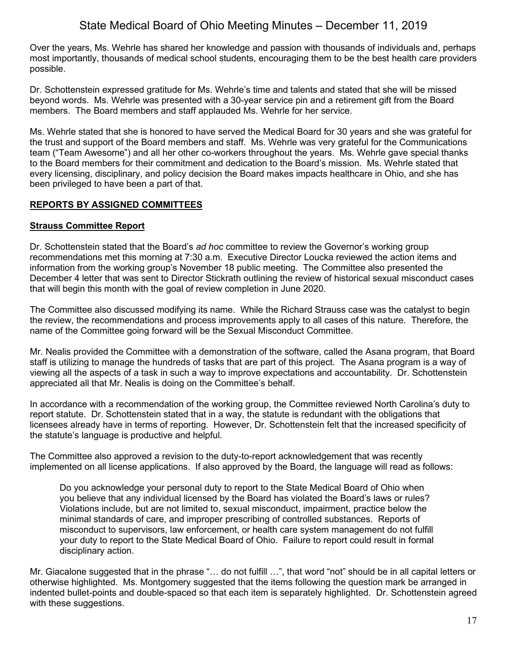Over the years, Ms. Wehrle has shared her knowledge and passion with thousands of individuals and, perhaps most importantly, thousands of medical school students, encouraging them to be the best health care providers possible.

Dr. Schottenstein expressed gratitude for Ms. Wehrle's time and talents and stated that she will be missed beyond words. Ms. Wehrle was presented with a 30-year service pin and a retirement gift from the Board members. The Board members and staff applauded Ms. Wehrle for her service.

Ms. Wehrle stated that she is honored to have served the Medical Board for 30 years and she was grateful for the trust and support of the Board members and staff. Ms. Wehrle was very grateful for the Communications team ("Team Awesome") and all her other co-workers throughout the years. Ms. Wehrle gave special thanks to the Board members for their commitment and dedication to the Board's mission. Ms. Wehrle stated that every licensing, disciplinary, and policy decision the Board makes impacts healthcare in Ohio, and she has been privileged to have been a part of that.

# **REPORTS BY ASSIGNED COMMITTEES**

# **Strauss Committee Report**

Dr. Schottenstein stated that the Board's *ad hoc* committee to review the Governor's working group recommendations met this morning at 7:30 a.m. Executive Director Loucka reviewed the action items and information from the working group's November 18 public meeting. The Committee also presented the December 4 letter that was sent to Director Stickrath outlining the review of historical sexual misconduct cases that will begin this month with the goal of review completion in June 2020.

The Committee also discussed modifying its name. While the Richard Strauss case was the catalyst to begin the review, the recommendations and process improvements apply to all cases of this nature. Therefore, the name of the Committee going forward will be the Sexual Misconduct Committee.

Mr. Nealis provided the Committee with a demonstration of the software, called the Asana program, that Board staff is utilizing to manage the hundreds of tasks that are part of this project. The Asana program is a way of viewing all the aspects of a task in such a way to improve expectations and accountability. Dr. Schottenstein appreciated all that Mr. Nealis is doing on the Committee's behalf.

In accordance with a recommendation of the working group, the Committee reviewed North Carolina's duty to report statute. Dr. Schottenstein stated that in a way, the statute is redundant with the obligations that licensees already have in terms of reporting. However, Dr. Schottenstein felt that the increased specificity of the statute's language is productive and helpful.

The Committee also approved a revision to the duty-to-report acknowledgement that was recently implemented on all license applications. If also approved by the Board, the language will read as follows:

Do you acknowledge your personal duty to report to the State Medical Board of Ohio when you believe that any individual licensed by the Board has violated the Board's laws or rules? Violations include, but are not limited to, sexual misconduct, impairment, practice below the minimal standards of care, and improper prescribing of controlled substances. Reports of misconduct to supervisors, law enforcement, or health care system management do not fulfill your duty to report to the State Medical Board of Ohio. Failure to report could result in formal disciplinary action.

Mr. Giacalone suggested that in the phrase "… do not fulfill …", that word "not" should be in all capital letters or otherwise highlighted. Ms. Montgomery suggested that the items following the question mark be arranged in indented bullet-points and double-spaced so that each item is separately highlighted. Dr. Schottenstein agreed with these suggestions.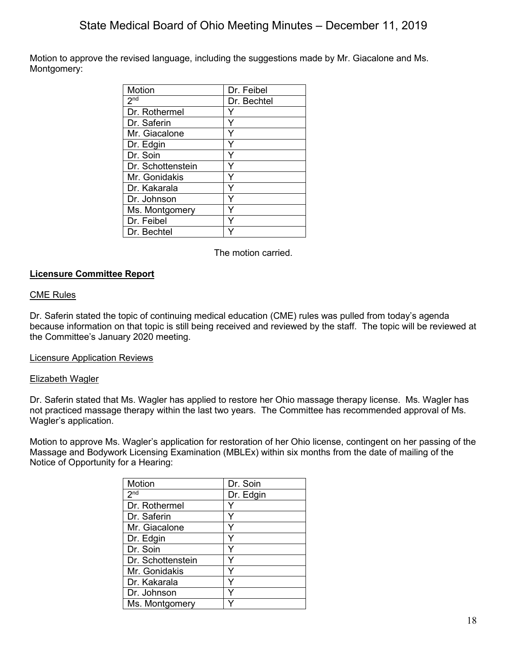Motion to approve the revised language, including the suggestions made by Mr. Giacalone and Ms. Montgomery:

| Motion            | Dr. Feibel  |
|-------------------|-------------|
| 2 <sup>nd</sup>   | Dr. Bechtel |
| Dr. Rothermel     |             |
| Dr. Saferin       | Y           |
| Mr. Giacalone     | Y           |
| Dr. Edgin         |             |
| Dr. Soin          |             |
| Dr. Schottenstein | ٧           |
| Mr. Gonidakis     |             |
| Dr. Kakarala      | Y           |
| Dr. Johnson       |             |
| Ms. Montgomery    |             |
| Dr. Feibel        |             |
| Dr. Bechtel       |             |

The motion carried.

## **Licensure Committee Report**

#### CME Rules

Dr. Saferin stated the topic of continuing medical education (CME) rules was pulled from today's agenda because information on that topic is still being received and reviewed by the staff. The topic will be reviewed at the Committee's January 2020 meeting.

Licensure Application Reviews

#### Elizabeth Wagler

Dr. Saferin stated that Ms. Wagler has applied to restore her Ohio massage therapy license. Ms. Wagler has not practiced massage therapy within the last two years. The Committee has recommended approval of Ms. Wagler's application.

Motion to approve Ms. Wagler's application for restoration of her Ohio license, contingent on her passing of the Massage and Bodywork Licensing Examination (MBLEx) within six months from the date of mailing of the Notice of Opportunity for a Hearing:

| Motion            | Dr. Soin  |
|-------------------|-----------|
| 2 <sup>nd</sup>   | Dr. Edgin |
| Dr. Rothermel     |           |
| Dr. Saferin       | Y         |
| Mr. Giacalone     |           |
| Dr. Edgin         |           |
| Dr. Soin          |           |
| Dr. Schottenstein |           |
| Mr. Gonidakis     |           |
| Dr. Kakarala      |           |
| Dr. Johnson       | Y         |
| Ms. Montgomery    |           |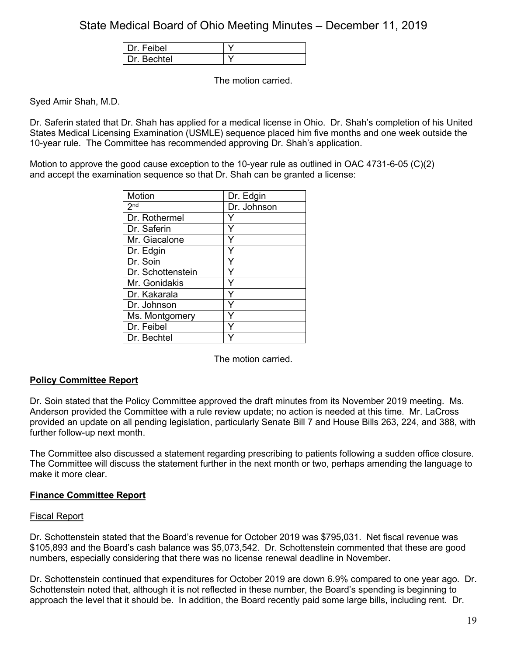| Dr Feibel  |  |
|------------|--|
| Dr Bechtel |  |

The motion carried.

## Syed Amir Shah, M.D.

Dr. Saferin stated that Dr. Shah has applied for a medical license in Ohio. Dr. Shah's completion of his United States Medical Licensing Examination (USMLE) sequence placed him five months and one week outside the 10-year rule. The Committee has recommended approving Dr. Shah's application.

Motion to approve the good cause exception to the 10-year rule as outlined in OAC 4731-6-05 (C)(2) and accept the examination sequence so that Dr. Shah can be granted a license:

| Motion            | Dr. Edgin   |
|-------------------|-------------|
| 2 <sup>nd</sup>   | Dr. Johnson |
| Dr. Rothermel     |             |
| Dr. Saferin       | Y           |
| Mr. Giacalone     | Y           |
| Dr. Edgin         | Y           |
| Dr. Soin          | Υ           |
| Dr. Schottenstein |             |
| Mr. Gonidakis     |             |
| Dr. Kakarala      |             |
| Dr. Johnson       |             |
| Ms. Montgomery    |             |
| Dr. Feibel        |             |
| Dr. Bechtel       |             |

The motion carried.

## **Policy Committee Report**

Dr. Soin stated that the Policy Committee approved the draft minutes from its November 2019 meeting. Ms. Anderson provided the Committee with a rule review update; no action is needed at this time. Mr. LaCross provided an update on all pending legislation, particularly Senate Bill 7 and House Bills 263, 224, and 388, with further follow-up next month.

The Committee also discussed a statement regarding prescribing to patients following a sudden office closure. The Committee will discuss the statement further in the next month or two, perhaps amending the language to make it more clear.

## **Finance Committee Report**

## Fiscal Report

Dr. Schottenstein stated that the Board's revenue for October 2019 was \$795,031. Net fiscal revenue was \$105,893 and the Board's cash balance was \$5,073,542. Dr. Schottenstein commented that these are good numbers, especially considering that there was no license renewal deadline in November.

Dr. Schottenstein continued that expenditures for October 2019 are down 6.9% compared to one year ago. Dr. Schottenstein noted that, although it is not reflected in these number, the Board's spending is beginning to approach the level that it should be. In addition, the Board recently paid some large bills, including rent. Dr.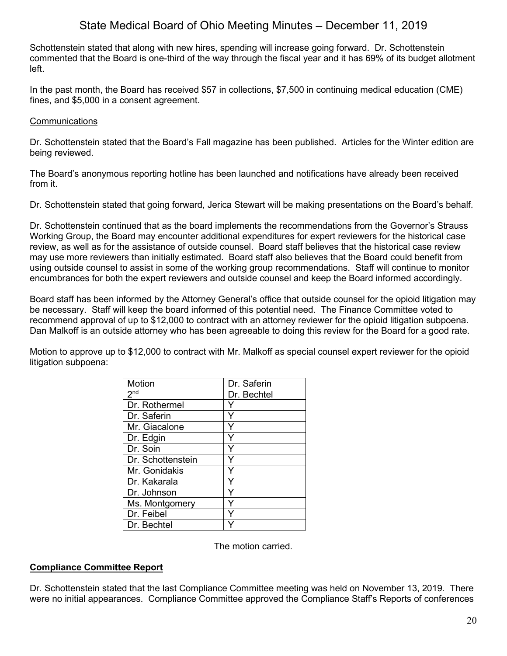Schottenstein stated that along with new hires, spending will increase going forward. Dr. Schottenstein commented that the Board is one-third of the way through the fiscal year and it has 69% of its budget allotment left.

In the past month, the Board has received \$57 in collections, \$7,500 in continuing medical education (CME) fines, and \$5,000 in a consent agreement.

## **Communications**

Dr. Schottenstein stated that the Board's Fall magazine has been published. Articles for the Winter edition are being reviewed.

The Board's anonymous reporting hotline has been launched and notifications have already been received from it.

Dr. Schottenstein stated that going forward, Jerica Stewart will be making presentations on the Board's behalf.

Dr. Schottenstein continued that as the board implements the recommendations from the Governor's Strauss Working Group, the Board may encounter additional expenditures for expert reviewers for the historical case review, as well as for the assistance of outside counsel. Board staff believes that the historical case review may use more reviewers than initially estimated. Board staff also believes that the Board could benefit from using outside counsel to assist in some of the working group recommendations. Staff will continue to monitor encumbrances for both the expert reviewers and outside counsel and keep the Board informed accordingly.

Board staff has been informed by the Attorney General's office that outside counsel for the opioid litigation may be necessary. Staff will keep the board informed of this potential need. The Finance Committee voted to recommend approval of up to \$12,000 to contract with an attorney reviewer for the opioid litigation subpoena. Dan Malkoff is an outside attorney who has been agreeable to doing this review for the Board for a good rate.

Motion to approve up to \$12,000 to contract with Mr. Malkoff as special counsel expert reviewer for the opioid litigation subpoena:

| Motion            | Dr. Saferin |
|-------------------|-------------|
| 2 <sup>nd</sup>   | Dr. Bechtel |
| Dr. Rothermel     |             |
| Dr. Saferin       | Y           |
| Mr. Giacalone     | Y           |
| Dr. Edgin         |             |
| Dr. Soin          | Y           |
| Dr. Schottenstein | Ý           |
| Mr. Gonidakis     | Y           |
| Dr. Kakarala      | Y           |
| Dr. Johnson       | Y           |
| Ms. Montgomery    |             |
| Dr. Feibel        |             |
| Dr. Bechtel       |             |

The motion carried.

## **Compliance Committee Report**

Dr. Schottenstein stated that the last Compliance Committee meeting was held on November 13, 2019. There were no initial appearances. Compliance Committee approved the Compliance Staff's Reports of conferences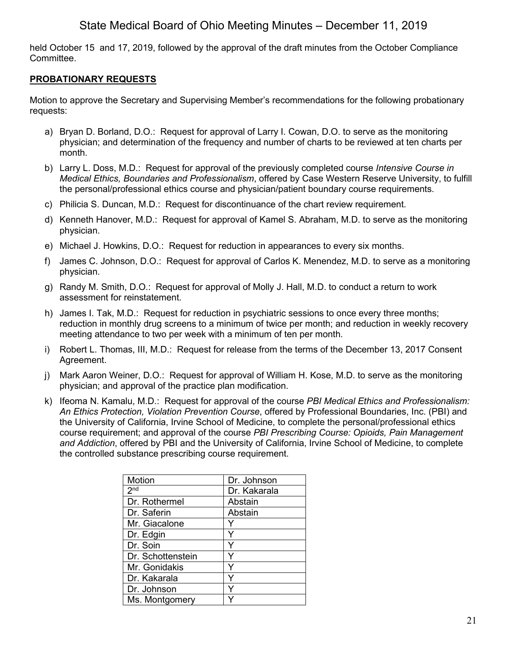held October 15 and 17, 2019, followed by the approval of the draft minutes from the October Compliance Committee.

## **PROBATIONARY REQUESTS**

Motion to approve the Secretary and Supervising Member's recommendations for the following probationary requests:

- a) Bryan D. Borland, D.O.: Request for approval of Larry I. Cowan, D.O. to serve as the monitoring physician; and determination of the frequency and number of charts to be reviewed at ten charts per month.
- b) Larry L. Doss, M.D.: Request for approval of the previously completed course *Intensive Course in Medical Ethics, Boundaries and Professionalism*, offered by Case Western Reserve University, to fulfill the personal/professional ethics course and physician/patient boundary course requirements.
- c) Philicia S. Duncan, M.D.: Request for discontinuance of the chart review requirement.
- d) Kenneth Hanover, M.D.: Request for approval of Kamel S. Abraham, M.D. to serve as the monitoring physician.
- e) Michael J. Howkins, D.O.: Request for reduction in appearances to every six months.
- f) James C. Johnson, D.O.: Request for approval of Carlos K. Menendez, M.D. to serve as a monitoring physician.
- g) Randy M. Smith, D.O.: Request for approval of Molly J. Hall, M.D. to conduct a return to work assessment for reinstatement.
- h) James I. Tak, M.D.: Request for reduction in psychiatric sessions to once every three months; reduction in monthly drug screens to a minimum of twice per month; and reduction in weekly recovery meeting attendance to two per week with a minimum of ten per month.
- i) Robert L. Thomas, III, M.D.: Request for release from the terms of the December 13, 2017 Consent Agreement.
- j) Mark Aaron Weiner, D.O.: Request for approval of William H. Kose, M.D. to serve as the monitoring physician; and approval of the practice plan modification.
- k) Ifeoma N. Kamalu, M.D.: Request for approval of the course *PBI Medical Ethics and Professionalism: An Ethics Protection, Violation Prevention Course*, offered by Professional Boundaries, Inc. (PBI) and the University of California, Irvine School of Medicine, to complete the personal/professional ethics course requirement; and approval of the course *PBI Prescribing Course: Opioids, Pain Management and Addiction*, offered by PBI and the University of California, Irvine School of Medicine, to complete the controlled substance prescribing course requirement.

| Motion            | Dr. Johnson  |
|-------------------|--------------|
| 2 <sub>nd</sub>   | Dr. Kakarala |
| Dr. Rothermel     | Abstain      |
| Dr. Saferin       | Abstain      |
| Mr. Giacalone     |              |
| Dr. Edgin         |              |
| Dr. Soin          |              |
| Dr. Schottenstein |              |
| Mr. Gonidakis     |              |
| Dr. Kakarala      |              |
| Dr. Johnson       |              |
| Ms. Montgomery    |              |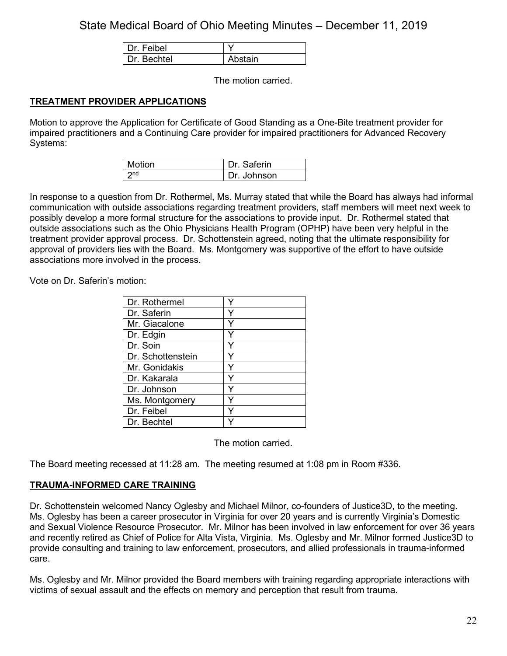| Dr Feibel |         |
|-----------|---------|
| ר Bechtel | ∖bstain |

The motion carried.

## **TREATMENT PROVIDER APPLICATIONS**

Motion to approve the Application for Certificate of Good Standing as a One-Bite treatment provider for impaired practitioners and a Continuing Care provider for impaired practitioners for Advanced Recovery Systems:

| Motion | . Saferin<br>Dr |
|--------|-----------------|
| ∣ ond  | Dr. Johnson     |

In response to a question from Dr. Rothermel, Ms. Murray stated that while the Board has always had informal communication with outside associations regarding treatment providers, staff members will meet next week to possibly develop a more formal structure for the associations to provide input. Dr. Rothermel stated that outside associations such as the Ohio Physicians Health Program (OPHP) have been very helpful in the treatment provider approval process. Dr. Schottenstein agreed, noting that the ultimate responsibility for approval of providers lies with the Board. Ms. Montgomery was supportive of the effort to have outside associations more involved in the process.

Vote on Dr. Saferin's motion:

| Dr. Rothermel     |   |
|-------------------|---|
| Dr. Saferin       | Y |
| Mr. Giacalone     | Y |
| Dr. Edgin         | Y |
| Dr. Soin          |   |
| Dr. Schottenstein |   |
| Mr. Gonidakis     | Y |
| Dr. Kakarala      | Y |
| Dr. Johnson       |   |
| Ms. Montgomery    | Y |
| Dr. Feibel        | v |
| Dr. Bechtel       |   |

The motion carried.

The Board meeting recessed at 11:28 am. The meeting resumed at 1:08 pm in Room #336.

# **TRAUMA-INFORMED CARE TRAINING**

Dr. Schottenstein welcomed Nancy Oglesby and Michael Milnor, co-founders of Justice3D, to the meeting. Ms. Oglesby has been a career prosecutor in Virginia for over 20 years and is currently Virginia's Domestic and Sexual Violence Resource Prosecutor. Mr. Milnor has been involved in law enforcement for over 36 years and recently retired as Chief of Police for Alta Vista, Virginia. Ms. Oglesby and Mr. Milnor formed Justice3D to provide consulting and training to law enforcement, prosecutors, and allied professionals in trauma-informed care.

Ms. Oglesby and Mr. Milnor provided the Board members with training regarding appropriate interactions with victims of sexual assault and the effects on memory and perception that result from trauma.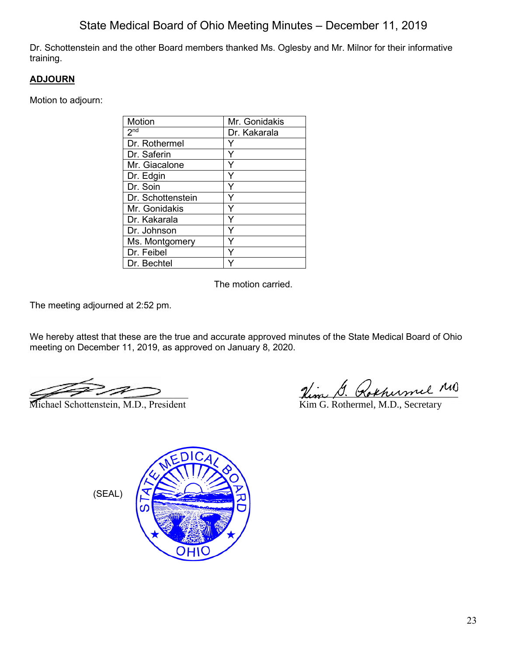Dr. Schottenstein and the other Board members thanked Ms. Oglesby and Mr. Milnor for their informative training.

# **ADJOURN**

Motion to adjourn:

| Motion            | Mr. Gonidakis |
|-------------------|---------------|
| 2 <sup>nd</sup>   | Dr. Kakarala  |
| Dr. Rothermel     |               |
| Dr. Saferin       | Y             |
| Mr. Giacalone     | Y             |
| Dr. Edgin         |               |
| Dr. Soin          | ⋎             |
| Dr. Schottenstein |               |
| Mr. Gonidakis     |               |
| Dr. Kakarala      | Υ             |
| Dr. Johnson       |               |
| Ms. Montgomery    |               |
| Dr. Feibel        |               |
| Dr. Bechtel       |               |

The motion carried.

The meeting adjourned at 2:52 pm.

We hereby attest that these are the true and accurate approved minutes of the State Medical Board of Ohio meeting on December 11, 2019, as approved on January 8, 2020.

 $\mathscr{L} \rightarrow \mathscr{L} \rightarrow \mathscr{L} \rightarrow \mathscr{L} \rightarrow \mathscr{L} \rightarrow \mathscr{L} \rightarrow \mathscr{L} \rightarrow \mathscr{L} \rightarrow \mathscr{L} \rightarrow \mathscr{L} \rightarrow \mathscr{L} \rightarrow \mathscr{L} \rightarrow \mathscr{L} \rightarrow \mathscr{L} \rightarrow \mathscr{L} \rightarrow \mathscr{L} \rightarrow \mathscr{L} \rightarrow \mathscr{L} \rightarrow \mathscr{L} \rightarrow \mathscr{L} \rightarrow \mathscr{L} \rightarrow \mathscr{L} \rightarrow \mathscr{L} \rightarrow \mathscr{L} \rightarrow \mathscr{L} \rightarrow \mathscr{L} \rightarrow \mathscr{L} \rightarrow \mathscr{$ 

Michael Schottenstein, M.D., President

Kokhumel MB

Kim G. Rothermel, M.D., Secretary

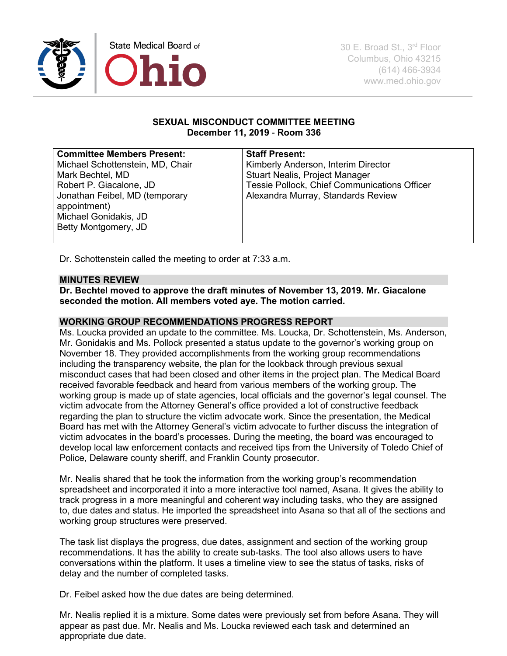

## **SEXUAL MISCONDUCT COMMITTEE MEETING December 11, 2019** - **Room 336**

| <b>Committee Members Present:</b> | <b>Staff Present:</b>                               |
|-----------------------------------|-----------------------------------------------------|
| Michael Schottenstein, MD, Chair  | Kimberly Anderson, Interim Director                 |
| Mark Bechtel, MD                  | <b>Stuart Nealis, Project Manager</b>               |
| Robert P. Giacalone, JD           | <b>Tessie Pollock, Chief Communications Officer</b> |
| Jonathan Feibel, MD (temporary    | Alexandra Murray, Standards Review                  |
| appointment)                      |                                                     |
| Michael Gonidakis, JD             |                                                     |
| Betty Montgomery, JD              |                                                     |
|                                   |                                                     |

Dr. Schottenstein called the meeting to order at 7:33 a.m.

## **MINUTES REVIEW**

**Dr. Bechtel moved to approve the draft minutes of November 13, 2019. Mr. Giacalone seconded the motion. All members voted aye. The motion carried.**

#### **WORKING GROUP RECOMMENDATIONS PROGRESS REPORT**

Ms. Loucka provided an update to the committee. Ms. Loucka, Dr. Schottenstein, Ms. Anderson, Mr. Gonidakis and Ms. Pollock presented a status update to the governor's working group on November 18. They provided accomplishments from the working group recommendations including the transparency website, the plan for the lookback through previous sexual misconduct cases that had been closed and other items in the project plan. The Medical Board received favorable feedback and heard from various members of the working group. The working group is made up of state agencies, local officials and the governor's legal counsel. The victim advocate from the Attorney General's office provided a lot of constructive feedback regarding the plan to structure the victim advocate work. Since the presentation, the Medical Board has met with the Attorney General's victim advocate to further discuss the integration of victim advocates in the board's processes. During the meeting, the board was encouraged to develop local law enforcement contacts and received tips from the University of Toledo Chief of Police, Delaware county sheriff, and Franklin County prosecutor.

Mr. Nealis shared that he took the information from the working group's recommendation spreadsheet and incorporated it into a more interactive tool named, Asana. It gives the ability to track progress in a more meaningful and coherent way including tasks, who they are assigned to, due dates and status. He imported the spreadsheet into Asana so that all of the sections and working group structures were preserved.

The task list displays the progress, due dates, assignment and section of the working group recommendations. It has the ability to create sub-tasks. The tool also allows users to have conversations within the platform. It uses a timeline view to see the status of tasks, risks of delay and the number of completed tasks.

Dr. Feibel asked how the due dates are being determined.

Mr. Nealis replied it is a mixture. Some dates were previously set from before Asana. They will appear as past due. Mr. Nealis and Ms. Loucka reviewed each task and determined an appropriate due date.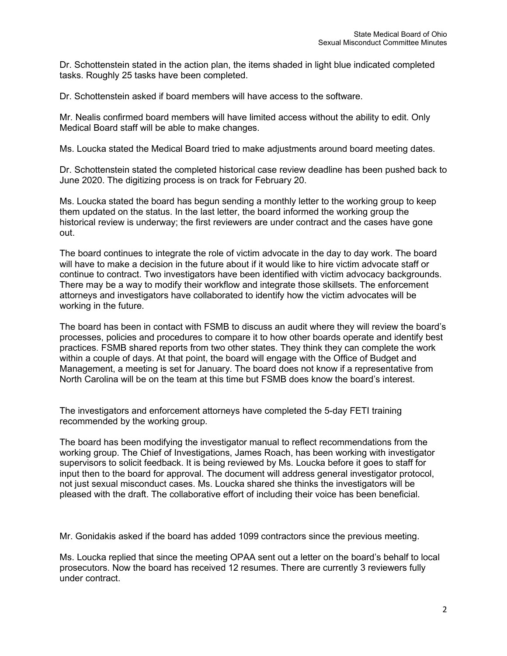Dr. Schottenstein stated in the action plan, the items shaded in light blue indicated completed tasks. Roughly 25 tasks have been completed.

Dr. Schottenstein asked if board members will have access to the software.

Mr. Nealis confirmed board members will have limited access without the ability to edit. Only Medical Board staff will be able to make changes.

Ms. Loucka stated the Medical Board tried to make adjustments around board meeting dates.

Dr. Schottenstein stated the completed historical case review deadline has been pushed back to June 2020. The digitizing process is on track for February 20.

Ms. Loucka stated the board has begun sending a monthly letter to the working group to keep them updated on the status. In the last letter, the board informed the working group the historical review is underway; the first reviewers are under contract and the cases have gone out.

The board continues to integrate the role of victim advocate in the day to day work. The board will have to make a decision in the future about if it would like to hire victim advocate staff or continue to contract. Two investigators have been identified with victim advocacy backgrounds. There may be a way to modify their workflow and integrate those skillsets. The enforcement attorneys and investigators have collaborated to identify how the victim advocates will be working in the future.

The board has been in contact with FSMB to discuss an audit where they will review the board's processes, policies and procedures to compare it to how other boards operate and identify best practices. FSMB shared reports from two other states. They think they can complete the work within a couple of days. At that point, the board will engage with the Office of Budget and Management, a meeting is set for January. The board does not know if a representative from North Carolina will be on the team at this time but FSMB does know the board's interest.

The investigators and enforcement attorneys have completed the 5-day FETI training recommended by the working group.

The board has been modifying the investigator manual to reflect recommendations from the working group. The Chief of Investigations, James Roach, has been working with investigator supervisors to solicit feedback. It is being reviewed by Ms. Loucka before it goes to staff for input then to the board for approval. The document will address general investigator protocol, not just sexual misconduct cases. Ms. Loucka shared she thinks the investigators will be pleased with the draft. The collaborative effort of including their voice has been beneficial.

Mr. Gonidakis asked if the board has added 1099 contractors since the previous meeting.

Ms. Loucka replied that since the meeting OPAA sent out a letter on the board's behalf to local prosecutors. Now the board has received 12 resumes. There are currently 3 reviewers fully under contract.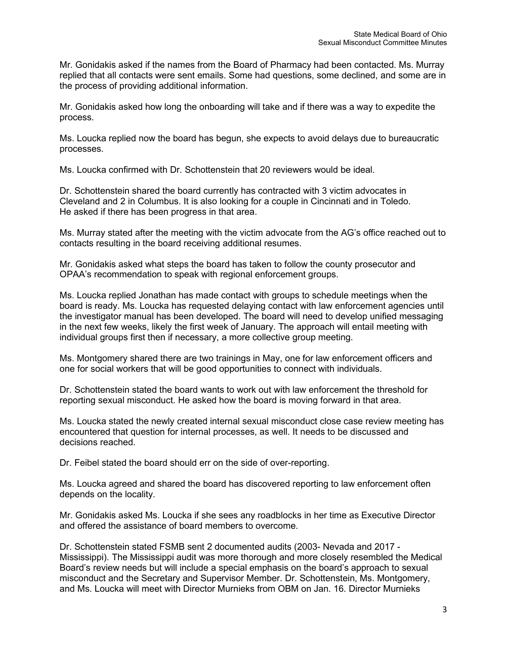Mr. Gonidakis asked if the names from the Board of Pharmacy had been contacted. Ms. Murray replied that all contacts were sent emails. Some had questions, some declined, and some are in the process of providing additional information.

Mr. Gonidakis asked how long the onboarding will take and if there was a way to expedite the process.

Ms. Loucka replied now the board has begun, she expects to avoid delays due to bureaucratic processes.

Ms. Loucka confirmed with Dr. Schottenstein that 20 reviewers would be ideal.

Dr. Schottenstein shared the board currently has contracted with 3 victim advocates in Cleveland and 2 in Columbus. It is also looking for a couple in Cincinnati and in Toledo. He asked if there has been progress in that area.

Ms. Murray stated after the meeting with the victim advocate from the AG's office reached out to contacts resulting in the board receiving additional resumes.

Mr. Gonidakis asked what steps the board has taken to follow the county prosecutor and OPAA's recommendation to speak with regional enforcement groups.

Ms. Loucka replied Jonathan has made contact with groups to schedule meetings when the board is ready. Ms. Loucka has requested delaying contact with law enforcement agencies until the investigator manual has been developed. The board will need to develop unified messaging in the next few weeks, likely the first week of January. The approach will entail meeting with individual groups first then if necessary, a more collective group meeting.

Ms. Montgomery shared there are two trainings in May, one for law enforcement officers and one for social workers that will be good opportunities to connect with individuals.

Dr. Schottenstein stated the board wants to work out with law enforcement the threshold for reporting sexual misconduct. He asked how the board is moving forward in that area.

Ms. Loucka stated the newly created internal sexual misconduct close case review meeting has encountered that question for internal processes, as well. It needs to be discussed and decisions reached.

Dr. Feibel stated the board should err on the side of over-reporting.

Ms. Loucka agreed and shared the board has discovered reporting to law enforcement often depends on the locality.

Mr. Gonidakis asked Ms. Loucka if she sees any roadblocks in her time as Executive Director and offered the assistance of board members to overcome.

Dr. Schottenstein stated FSMB sent 2 documented audits (2003- Nevada and 2017 - Mississippi). The Mississippi audit was more thorough and more closely resembled the Medical Board's review needs but will include a special emphasis on the board's approach to sexual misconduct and the Secretary and Supervisor Member. Dr. Schottenstein, Ms. Montgomery, and Ms. Loucka will meet with Director Murnieks from OBM on Jan. 16. Director Murnieks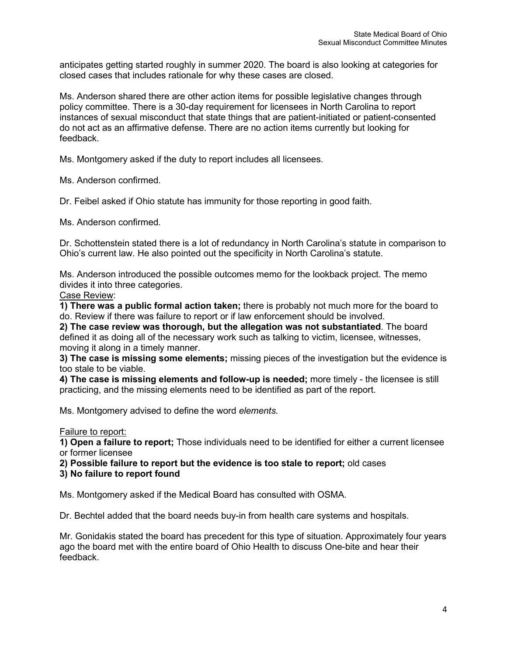anticipates getting started roughly in summer 2020. The board is also looking at categories for closed cases that includes rationale for why these cases are closed.

Ms. Anderson shared there are other action items for possible legislative changes through policy committee. There is a 30-day requirement for licensees in North Carolina to report instances of sexual misconduct that state things that are patient-initiated or patient-consented do not act as an affirmative defense. There are no action items currently but looking for feedback.

Ms. Montgomery asked if the duty to report includes all licensees.

Ms. Anderson confirmed.

Dr. Feibel asked if Ohio statute has immunity for those reporting in good faith.

Ms. Anderson confirmed.

Dr. Schottenstein stated there is a lot of redundancy in North Carolina's statute in comparison to Ohio's current law. He also pointed out the specificity in North Carolina's statute.

Ms. Anderson introduced the possible outcomes memo for the lookback project. The memo divides it into three categories.

Case Review:

**1) There was a public formal action taken;** there is probably not much more for the board to do. Review if there was failure to report or if law enforcement should be involved.

**2) The case review was thorough, but the allegation was not substantiated**. The board defined it as doing all of the necessary work such as talking to victim, licensee, witnesses, moving it along in a timely manner.

**3) The case is missing some elements;** missing pieces of the investigation but the evidence is too stale to be viable.

**4) The case is missing elements and follow-up is needed;** more timely - the licensee is still practicing, and the missing elements need to be identified as part of the report.

Ms. Montgomery advised to define the word *elements.* 

#### Failure to report:

**1) Open a failure to report;** Those individuals need to be identified for either a current licensee or former licensee

**2) Possible failure to report but the evidence is too stale to report;** old cases

**3) No failure to report found**

Ms. Montgomery asked if the Medical Board has consulted with OSMA.

Dr. Bechtel added that the board needs buy-in from health care systems and hospitals.

Mr. Gonidakis stated the board has precedent for this type of situation. Approximately four years ago the board met with the entire board of Ohio Health to discuss One-bite and hear their feedback.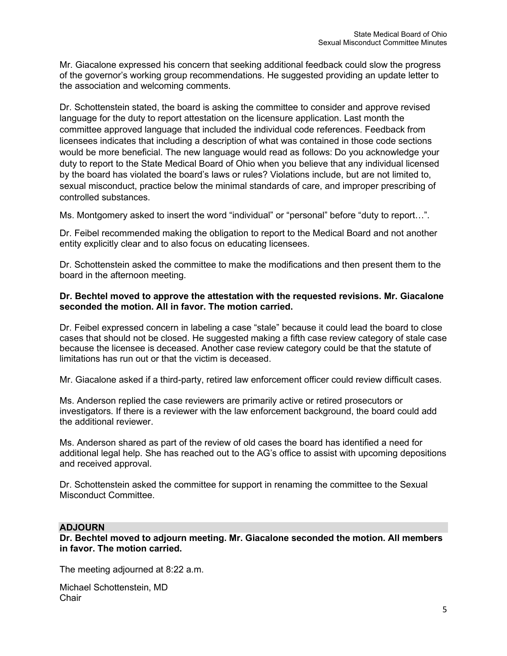Mr. Giacalone expressed his concern that seeking additional feedback could slow the progress of the governor's working group recommendations. He suggested providing an update letter to the association and welcoming comments.

Dr. Schottenstein stated, the board is asking the committee to consider and approve revised language for the duty to report attestation on the licensure application. Last month the committee approved language that included the individual code references. Feedback from licensees indicates that including a description of what was contained in those code sections would be more beneficial. The new language would read as follows: Do you acknowledge your duty to report to the State Medical Board of Ohio when you believe that any individual licensed by the board has violated the board's laws or rules? Violations include, but are not limited to, sexual misconduct, practice below the minimal standards of care, and improper prescribing of controlled substances.

Ms. Montgomery asked to insert the word "individual" or "personal" before "duty to report…".

Dr. Feibel recommended making the obligation to report to the Medical Board and not another entity explicitly clear and to also focus on educating licensees.

Dr. Schottenstein asked the committee to make the modifications and then present them to the board in the afternoon meeting.

#### **Dr. Bechtel moved to approve the attestation with the requested revisions. Mr. Giacalone seconded the motion. All in favor. The motion carried.**

Dr. Feibel expressed concern in labeling a case "stale" because it could lead the board to close cases that should not be closed. He suggested making a fifth case review category of stale case because the licensee is deceased. Another case review category could be that the statute of limitations has run out or that the victim is deceased.

Mr. Giacalone asked if a third-party, retired law enforcement officer could review difficult cases.

Ms. Anderson replied the case reviewers are primarily active or retired prosecutors or investigators. If there is a reviewer with the law enforcement background, the board could add the additional reviewer.

Ms. Anderson shared as part of the review of old cases the board has identified a need for additional legal help. She has reached out to the AG's office to assist with upcoming depositions and received approval.

Dr. Schottenstein asked the committee for support in renaming the committee to the Sexual Misconduct Committee.

#### **ADJOURN**

**Dr. Bechtel moved to adjourn meeting. Mr. Giacalone seconded the motion. All members in favor. The motion carried.**

The meeting adjourned at 8:22 a.m.

Michael Schottenstein, MD Chair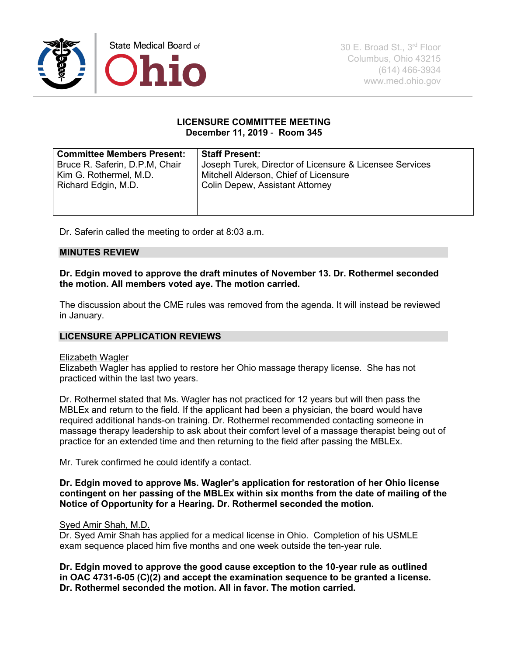

#### **LICENSURE COMMITTEE MEETING December 11, 2019** - **Room 345**

| <b>Committee Members Present:</b> | <b>Staff Present:</b>                                   |
|-----------------------------------|---------------------------------------------------------|
| Bruce R. Saferin, D.P.M, Chair    | Joseph Turek, Director of Licensure & Licensee Services |
| Kim G. Rothermel, M.D.            | Mitchell Alderson, Chief of Licensure                   |
| Richard Edgin, M.D.               | <b>Colin Depew, Assistant Attorney</b>                  |
|                                   |                                                         |

Dr. Saferin called the meeting to order at 8:03 a.m.

## **MINUTES REVIEW**

**Dr. Edgin moved to approve the draft minutes of November 13. Dr. Rothermel seconded the motion. All members voted aye. The motion carried.**

The discussion about the CME rules was removed from the agenda. It will instead be reviewed in January.

## **LICENSURE APPLICATION REVIEWS**

#### Elizabeth Wagler

Elizabeth Wagler has applied to restore her Ohio massage therapy license. She has not practiced within the last two years.

Dr. Rothermel stated that Ms. Wagler has not practiced for 12 years but will then pass the MBLEx and return to the field. If the applicant had been a physician, the board would have required additional hands-on training. Dr. Rothermel recommended contacting someone in massage therapy leadership to ask about their comfort level of a massage therapist being out of practice for an extended time and then returning to the field after passing the MBLEx.

Mr. Turek confirmed he could identify a contact.

#### **Dr. Edgin moved to approve Ms. Wagler's application for restoration of her Ohio license contingent on her passing of the MBLEx within six months from the date of mailing of the Notice of Opportunity for a Hearing. Dr. Rothermel seconded the motion.**

#### Syed Amir Shah, M.D.

Dr. Syed Amir Shah has applied for a medical license in Ohio. Completion of his USMLE exam sequence placed him five months and one week outside the ten-year rule.

**Dr. Edgin moved to approve the good cause exception to the 10-year rule as outlined in OAC 4731-6-05 (C)(2) and accept the examination sequence to be granted a license. Dr. Rothermel seconded the motion. All in favor. The motion carried.**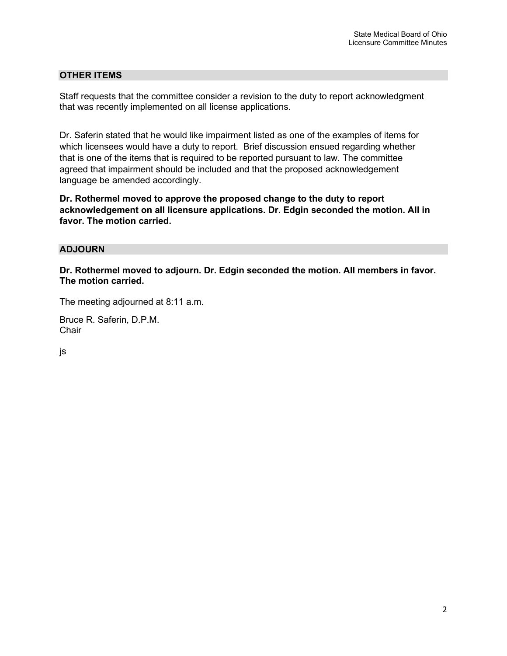## **OTHER ITEMS**

Staff requests that the committee consider a revision to the duty to report acknowledgment that was recently implemented on all license applications.

Dr. Saferin stated that he would like impairment listed as one of the examples of items for which licensees would have a duty to report. Brief discussion ensued regarding whether that is one of the items that is required to be reported pursuant to law. The committee agreed that impairment should be included and that the proposed acknowledgement language be amended accordingly.

**Dr. Rothermel moved to approve the proposed change to the duty to report acknowledgement on all licensure applications. Dr. Edgin seconded the motion. All in favor. The motion carried.** 

## **ADJOURN**

**Dr. Rothermel moved to adjourn. Dr. Edgin seconded the motion. All members in favor. The motion carried.**

The meeting adjourned at 8:11 a.m.

Bruce R. Saferin, D.P.M. **Chair** 

js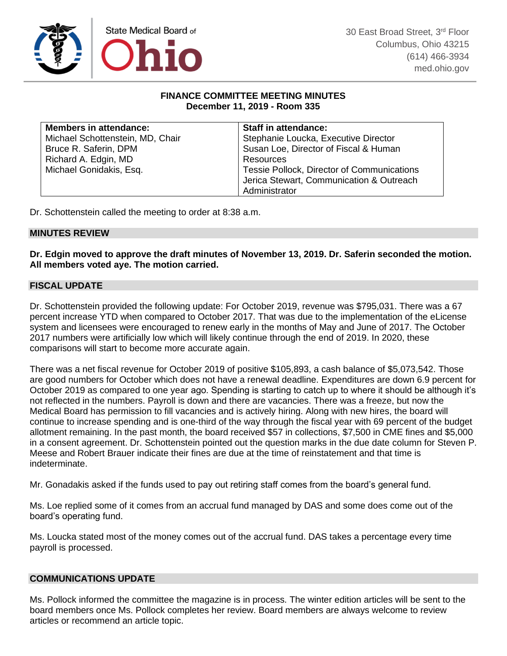

### **FINANCE COMMITTEE MEETING MINUTES December 11, 2019 - Room 335**

| <b>Members in attendance:</b>    | <b>Staff in attendance:</b>                |
|----------------------------------|--------------------------------------------|
| Michael Schottenstein, MD, Chair | Stephanie Loucka, Executive Director       |
| Bruce R. Saferin, DPM            | Susan Loe, Director of Fiscal & Human      |
| Richard A. Edgin, MD             | Resources                                  |
| Michael Gonidakis, Esq.          | Tessie Pollock, Director of Communications |
|                                  | Jerica Stewart, Communication & Outreach   |
|                                  | Administrator                              |

Dr. Schottenstein called the meeting to order at 8:38 a.m.

#### **MINUTES REVIEW**

**Dr. Edgin moved to approve the draft minutes of November 13, 2019. Dr. Saferin seconded the motion. All members voted aye. The motion carried.**

#### **FISCAL UPDATE**

Dr. Schottenstein provided the following update: For October 2019, revenue was \$795,031. There was a 67 percent increase YTD when compared to October 2017. That was due to the implementation of the eLicense system and licensees were encouraged to renew early in the months of May and June of 2017. The October 2017 numbers were artificially low which will likely continue through the end of 2019. In 2020, these comparisons will start to become more accurate again.

There was a net fiscal revenue for October 2019 of positive \$105,893, a cash balance of \$5,073,542. Those are good numbers for October which does not have a renewal deadline. Expenditures are down 6.9 percent for October 2019 as compared to one year ago. Spending is starting to catch up to where it should be although it's not reflected in the numbers. Payroll is down and there are vacancies. There was a freeze, but now the Medical Board has permission to fill vacancies and is actively hiring. Along with new hires, the board will continue to increase spending and is one-third of the way through the fiscal year with 69 percent of the budget allotment remaining. In the past month, the board received \$57 in collections, \$7,500 in CME fines and \$5,000 in a consent agreement. Dr. Schottenstein pointed out the question marks in the due date column for Steven P. Meese and Robert Brauer indicate their fines are due at the time of reinstatement and that time is indeterminate.

Mr. Gonadakis asked if the funds used to pay out retiring staff comes from the board's general fund.

Ms. Loe replied some of it comes from an accrual fund managed by DAS and some does come out of the board's operating fund.

Ms. Loucka stated most of the money comes out of the accrual fund. DAS takes a percentage every time payroll is processed.

## **COMMUNICATIONS UPDATE**

Ms. Pollock informed the committee the magazine is in process. The winter edition articles will be sent to the board members once Ms. Pollock completes her review. Board members are always welcome to review articles or recommend an article topic.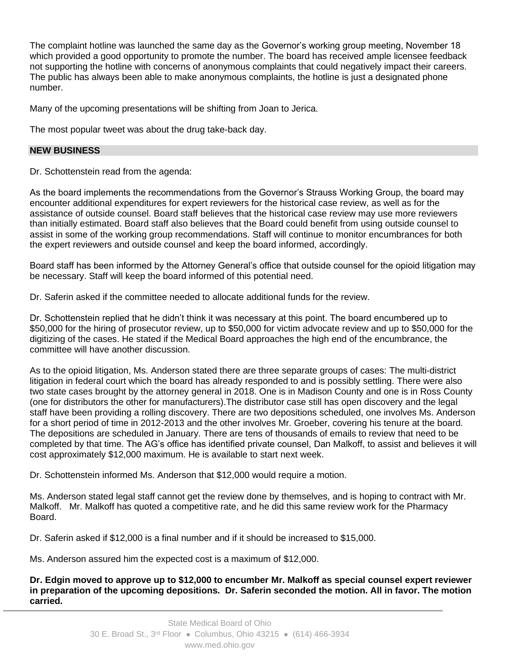The complaint hotline was launched the same day as the Governor's working group meeting, November 18 which provided a good opportunity to promote the number. The board has received ample licensee feedback not supporting the hotline with concerns of anonymous complaints that could negatively impact their careers. The public has always been able to make anonymous complaints, the hotline is just a designated phone number.

Many of the upcoming presentations will be shifting from Joan to Jerica.

The most popular tweet was about the drug take-back day.

#### **NEW BUSINESS**

Dr. Schottenstein read from the agenda:

As the board implements the recommendations from the Governor's Strauss Working Group, the board may encounter additional expenditures for expert reviewers for the historical case review, as well as for the assistance of outside counsel. Board staff believes that the historical case review may use more reviewers than initially estimated. Board staff also believes that the Board could benefit from using outside counsel to assist in some of the working group recommendations. Staff will continue to monitor encumbrances for both the expert reviewers and outside counsel and keep the board informed, accordingly.

Board staff has been informed by the Attorney General's office that outside counsel for the opioid litigation may be necessary. Staff will keep the board informed of this potential need.

Dr. Saferin asked if the committee needed to allocate additional funds for the review.

Dr. Schottenstein replied that he didn't think it was necessary at this point. The board encumbered up to \$50,000 for the hiring of prosecutor review, up to \$50,000 for victim advocate review and up to \$50,000 for the digitizing of the cases. He stated if the Medical Board approaches the high end of the encumbrance, the committee will have another discussion.

As to the opioid litigation, Ms. Anderson stated there are three separate groups of cases: The multi-district litigation in federal court which the board has already responded to and is possibly settling. There were also two state cases brought by the attorney general in 2018. One is in Madison County and one is in Ross County (one for distributors the other for manufacturers).The distributor case still has open discovery and the legal staff have been providing a rolling discovery. There are two depositions scheduled, one involves Ms. Anderson for a short period of time in 2012-2013 and the other involves Mr. Groeber, covering his tenure at the board. The depositions are scheduled in January. There are tens of thousands of emails to review that need to be completed by that time. The AG's office has identified private counsel, Dan Malkoff, to assist and believes it will cost approximately \$12,000 maximum. He is available to start next week.

Dr. Schottenstein informed Ms. Anderson that \$12,000 would require a motion.

Ms. Anderson stated legal staff cannot get the review done by themselves, and is hoping to contract with Mr. Malkoff. Mr. Malkoff has quoted a competitive rate, and he did this same review work for the Pharmacy Board.

Dr. Saferin asked if \$12,000 is a final number and if it should be increased to \$15,000.

Ms. Anderson assured him the expected cost is a maximum of \$12,000.

#### **Dr. Edgin moved to approve up to \$12,000 to encumber Mr. Malkoff as special counsel expert reviewer in preparation of the upcoming depositions. Dr. Saferin seconded the motion. All in favor. The motion carried.**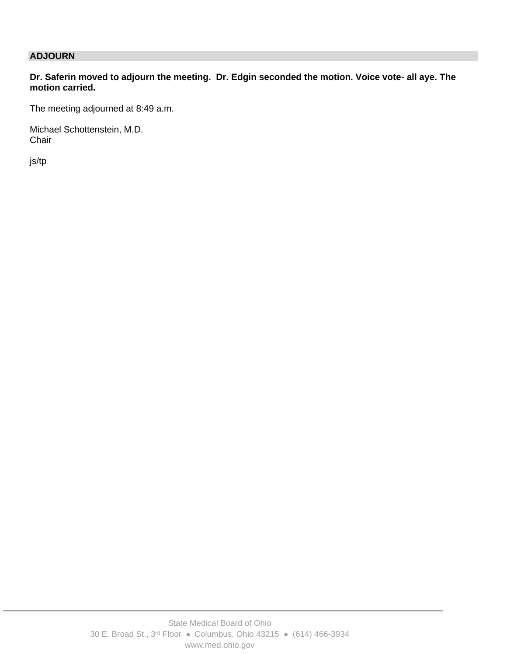# **ADJOURN**

## **Dr. Saferin moved to adjourn the meeting. Dr. Edgin seconded the motion. Voice vote- all aye. The motion carried.**

The meeting adjourned at 8:49 a.m.

Michael Schottenstein, M.D. **Chair** 

js/tp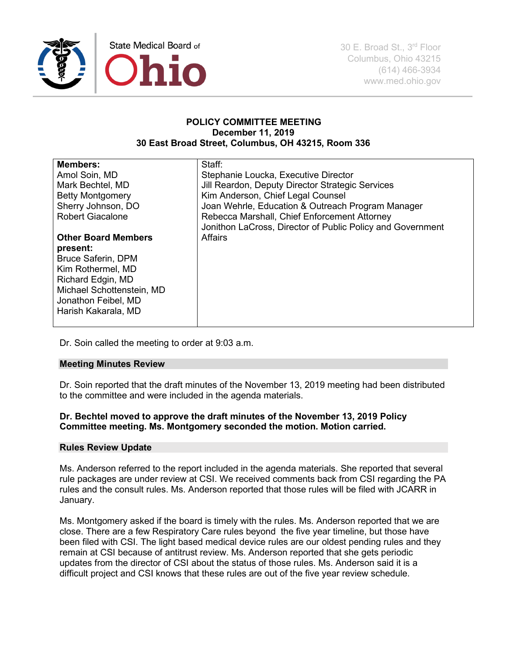

#### **POLICY COMMITTEE MEETING December 11, 2019 30 East Broad Street, Columbus, OH 43215, Room 336**

| <b>Members:</b>            | Staff:                                                     |
|----------------------------|------------------------------------------------------------|
| Amol Soin, MD              | Stephanie Loucka, Executive Director                       |
| Mark Bechtel, MD           | Jill Reardon, Deputy Director Strategic Services           |
| <b>Betty Montgomery</b>    | Kim Anderson, Chief Legal Counsel                          |
| Sherry Johnson, DO         | Joan Wehrle, Education & Outreach Program Manager          |
| <b>Robert Giacalone</b>    | Rebecca Marshall, Chief Enforcement Attorney               |
|                            | Jonithon LaCross, Director of Public Policy and Government |
| <b>Other Board Members</b> | Affairs                                                    |
| present:                   |                                                            |
| <b>Bruce Saferin, DPM</b>  |                                                            |
| Kim Rothermel, MD          |                                                            |
| Richard Edgin, MD          |                                                            |
| Michael Schottenstein, MD  |                                                            |
| Jonathon Feibel, MD        |                                                            |
| Harish Kakarala, MD        |                                                            |
|                            |                                                            |

Dr. Soin called the meeting to order at 9:03 a.m.

#### **Meeting Minutes Review**

Dr. Soin reported that the draft minutes of the November 13, 2019 meeting had been distributed to the committee and were included in the agenda materials.

#### **Dr. Bechtel moved to approve the draft minutes of the November 13, 2019 Policy Committee meeting. Ms. Montgomery seconded the motion. Motion carried.**

#### **Rules Review Update**

Ms. Anderson referred to the report included in the agenda materials. She reported that several rule packages are under review at CSI. We received comments back from CSI regarding the PA rules and the consult rules. Ms. Anderson reported that those rules will be filed with JCARR in January.

Ms. Montgomery asked if the board is timely with the rules. Ms. Anderson reported that we are close. There are a few Respiratory Care rules beyond the five year timeline, but those have been filed with CSI. The light based medical device rules are our oldest pending rules and they remain at CSI because of antitrust review. Ms. Anderson reported that she gets periodic updates from the director of CSI about the status of those rules. Ms. Anderson said it is a difficult project and CSI knows that these rules are out of the five year review schedule.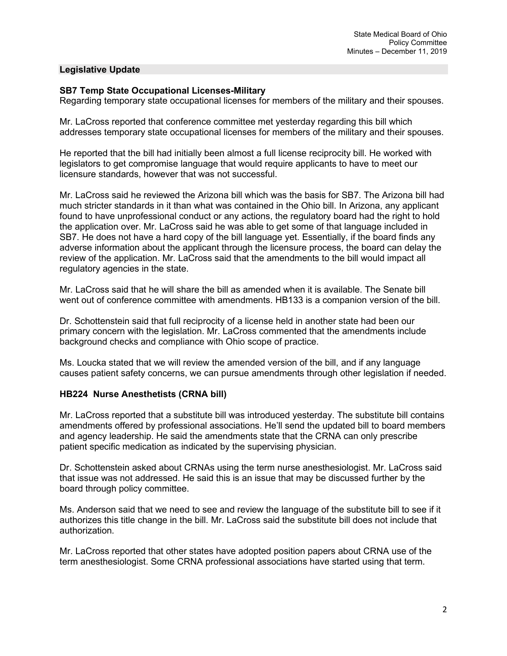#### **Legislative Update**

#### **SB7 Temp State Occupational Licenses-Military**

Regarding temporary state occupational licenses for members of the military and their spouses.

Mr. LaCross reported that conference committee met yesterday regarding this bill which addresses temporary state occupational licenses for members of the military and their spouses.

He reported that the bill had initially been almost a full license reciprocity bill. He worked with legislators to get compromise language that would require applicants to have to meet our licensure standards, however that was not successful.

Mr. LaCross said he reviewed the Arizona bill which was the basis for SB7. The Arizona bill had much stricter standards in it than what was contained in the Ohio bill. In Arizona, any applicant found to have unprofessional conduct or any actions, the regulatory board had the right to hold the application over. Mr. LaCross said he was able to get some of that language included in SB7. He does not have a hard copy of the bill language yet. Essentially, if the board finds any adverse information about the applicant through the licensure process, the board can delay the review of the application. Mr. LaCross said that the amendments to the bill would impact all regulatory agencies in the state.

Mr. LaCross said that he will share the bill as amended when it is available. The Senate bill went out of conference committee with amendments. HB133 is a companion version of the bill.

Dr. Schottenstein said that full reciprocity of a license held in another state had been our primary concern with the legislation. Mr. LaCross commented that the amendments include background checks and compliance with Ohio scope of practice.

Ms. Loucka stated that we will review the amended version of the bill, and if any language causes patient safety concerns, we can pursue amendments through other legislation if needed.

#### **HB224 Nurse Anesthetists (CRNA bill)**

Mr. LaCross reported that a substitute bill was introduced yesterday. The substitute bill contains amendments offered by professional associations. He'll send the updated bill to board members and agency leadership. He said the amendments state that the CRNA can only prescribe patient specific medication as indicated by the supervising physician.

Dr. Schottenstein asked about CRNAs using the term nurse anesthesiologist. Mr. LaCross said that issue was not addressed. He said this is an issue that may be discussed further by the board through policy committee.

Ms. Anderson said that we need to see and review the language of the substitute bill to see if it authorizes this title change in the bill. Mr. LaCross said the substitute bill does not include that authorization.

Mr. LaCross reported that other states have adopted position papers about CRNA use of the term anesthesiologist. Some CRNA professional associations have started using that term.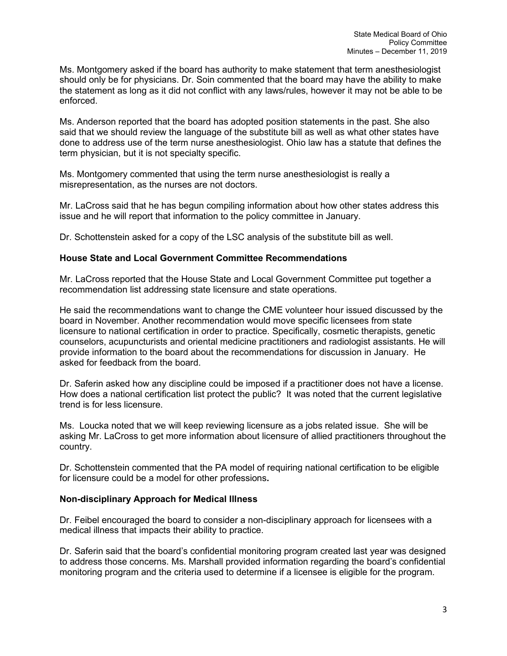Ms. Montgomery asked if the board has authority to make statement that term anesthesiologist should only be for physicians. Dr. Soin commented that the board may have the ability to make the statement as long as it did not conflict with any laws/rules, however it may not be able to be enforced.

Ms. Anderson reported that the board has adopted position statements in the past. She also said that we should review the language of the substitute bill as well as what other states have done to address use of the term nurse anesthesiologist. Ohio law has a statute that defines the term physician, but it is not specialty specific.

Ms. Montgomery commented that using the term nurse anesthesiologist is really a misrepresentation, as the nurses are not doctors.

Mr. LaCross said that he has begun compiling information about how other states address this issue and he will report that information to the policy committee in January.

Dr. Schottenstein asked for a copy of the LSC analysis of the substitute bill as well.

#### **House State and Local Government Committee Recommendations**

Mr. LaCross reported that the House State and Local Government Committee put together a recommendation list addressing state licensure and state operations.

He said the recommendations want to change the CME volunteer hour issued discussed by the board in November. Another recommendation would move specific licensees from state licensure to national certification in order to practice. Specifically, cosmetic therapists, genetic counselors, acupuncturists and oriental medicine practitioners and radiologist assistants. He will provide information to the board about the recommendations for discussion in January. He asked for feedback from the board.

Dr. Saferin asked how any discipline could be imposed if a practitioner does not have a license. How does a national certification list protect the public? It was noted that the current legislative trend is for less licensure.

Ms. Loucka noted that we will keep reviewing licensure as a jobs related issue. She will be asking Mr. LaCross to get more information about licensure of allied practitioners throughout the country.

Dr. Schottenstein commented that the PA model of requiring national certification to be eligible for licensure could be a model for other professions**.** 

## **Non-disciplinary Approach for Medical Illness**

Dr. Feibel encouraged the board to consider a non-disciplinary approach for licensees with a medical illness that impacts their ability to practice.

Dr. Saferin said that the board's confidential monitoring program created last year was designed to address those concerns. Ms. Marshall provided information regarding the board's confidential monitoring program and the criteria used to determine if a licensee is eligible for the program.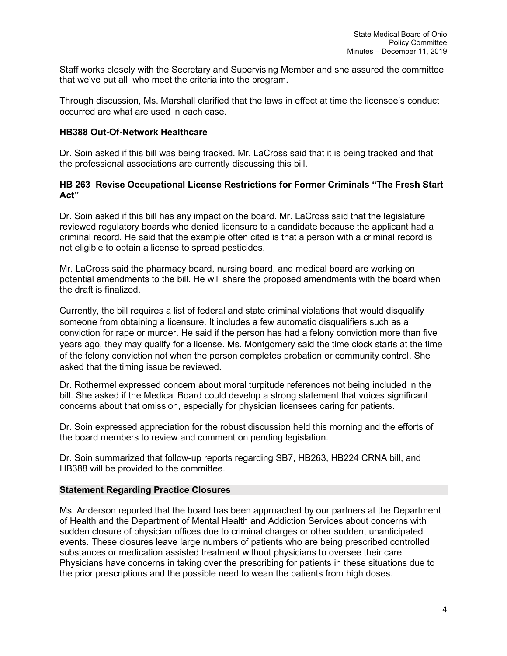Staff works closely with the Secretary and Supervising Member and she assured the committee that we've put all who meet the criteria into the program.

Through discussion, Ms. Marshall clarified that the laws in effect at time the licensee's conduct occurred are what are used in each case.

#### **HB388 Out-Of-Network Healthcare**

Dr. Soin asked if this bill was being tracked. Mr. LaCross said that it is being tracked and that the professional associations are currently discussing this bill.

#### **HB 263 Revise Occupational License Restrictions for Former Criminals "The Fresh Start Act"**

Dr. Soin asked if this bill has any impact on the board. Mr. LaCross said that the legislature reviewed regulatory boards who denied licensure to a candidate because the applicant had a criminal record. He said that the example often cited is that a person with a criminal record is not eligible to obtain a license to spread pesticides.

Mr. LaCross said the pharmacy board, nursing board, and medical board are working on potential amendments to the bill. He will share the proposed amendments with the board when the draft is finalized.

Currently, the bill requires a list of federal and state criminal violations that would disqualify someone from obtaining a licensure. It includes a few automatic disqualifiers such as a conviction for rape or murder. He said if the person has had a felony conviction more than five years ago, they may qualify for a license. Ms. Montgomery said the time clock starts at the time of the felony conviction not when the person completes probation or community control. She asked that the timing issue be reviewed.

Dr. Rothermel expressed concern about moral turpitude references not being included in the bill. She asked if the Medical Board could develop a strong statement that voices significant concerns about that omission, especially for physician licensees caring for patients.

Dr. Soin expressed appreciation for the robust discussion held this morning and the efforts of the board members to review and comment on pending legislation.

Dr. Soin summarized that follow-up reports regarding SB7, HB263, HB224 CRNA bill, and HB388 will be provided to the committee.

#### **Statement Regarding Practice Closures**

Ms. Anderson reported that the board has been approached by our partners at the Department of Health and the Department of Mental Health and Addiction Services about concerns with sudden closure of physician offices due to criminal charges or other sudden, unanticipated events. These closures leave large numbers of patients who are being prescribed controlled substances or medication assisted treatment without physicians to oversee their care. Physicians have concerns in taking over the prescribing for patients in these situations due to the prior prescriptions and the possible need to wean the patients from high doses.